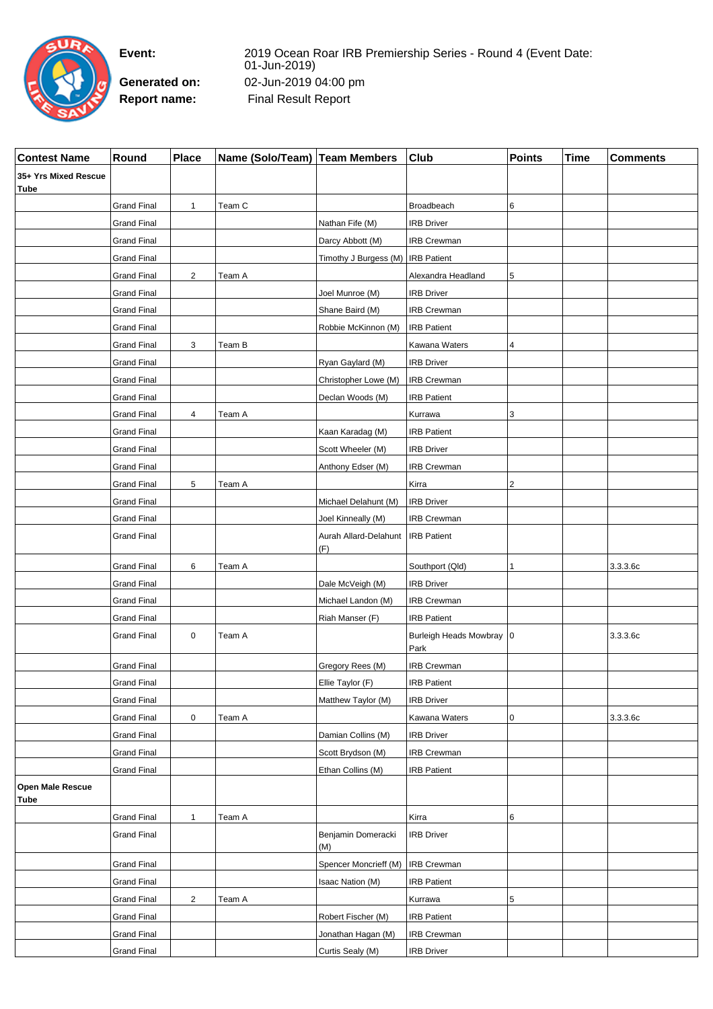

r

**Event:** 2019 Ocean Roar IRB Premiership Series - Round 4 (Event Date: 01-Jun-2019) **Generated on:** 02-Jun-2019 04:00 pm Report name: Final Result Report

| <b>Contest Name</b>                 | Round              | <b>Place</b>     | Name (Solo/Team)   Team Members |                                     | <b>Club</b>                        | <b>Points</b> | Time | <b>Comments</b> |
|-------------------------------------|--------------------|------------------|---------------------------------|-------------------------------------|------------------------------------|---------------|------|-----------------|
| 35+ Yrs Mixed Rescue<br><b>Tube</b> |                    |                  |                                 |                                     |                                    |               |      |                 |
|                                     | <b>Grand Final</b> | $\mathbf{1}$     | Team C                          |                                     | Broadbeach                         | 6             |      |                 |
|                                     | <b>Grand Final</b> |                  |                                 | Nathan Fife (M)                     | <b>IRB Driver</b>                  |               |      |                 |
|                                     | <b>Grand Final</b> |                  |                                 | Darcy Abbott (M)                    | <b>IRB Crewman</b>                 |               |      |                 |
|                                     | Grand Final        |                  |                                 | Timothy J Burgess (M)   IRB Patient |                                    |               |      |                 |
|                                     | Grand Final        | $\overline{2}$   | Team A                          |                                     | Alexandra Headland                 | 5             |      |                 |
|                                     | <b>Grand Final</b> |                  |                                 | Joel Munroe (M)                     | <b>IRB Driver</b>                  |               |      |                 |
|                                     | <b>Grand Final</b> |                  |                                 | Shane Baird (M)                     | <b>IRB Crewman</b>                 |               |      |                 |
|                                     | <b>Grand Final</b> |                  |                                 | Robbie McKinnon (M)                 | <b>IRB Patient</b>                 |               |      |                 |
|                                     | <b>Grand Final</b> | 3                | Team B                          |                                     | Kawana Waters                      | 4             |      |                 |
|                                     | <b>Grand Final</b> |                  |                                 | Ryan Gaylard (M)                    | <b>IRB Driver</b>                  |               |      |                 |
|                                     | <b>Grand Final</b> |                  |                                 | Christopher Lowe (M)                | IRB Crewman                        |               |      |                 |
|                                     | <b>Grand Final</b> |                  |                                 | Declan Woods (M)                    | <b>IRB Patient</b>                 |               |      |                 |
|                                     | <b>Grand Final</b> | 4                | Team A                          |                                     | Kurrawa                            | 3             |      |                 |
|                                     | <b>Grand Final</b> |                  |                                 | Kaan Karadag (M)                    | <b>IRB Patient</b>                 |               |      |                 |
|                                     | <b>Grand Final</b> |                  |                                 | Scott Wheeler (M)                   | <b>IRB Driver</b>                  |               |      |                 |
|                                     | Grand Final        |                  |                                 | Anthony Edser (M)                   | IRB Crewman                        |               |      |                 |
|                                     | Grand Final        | 5                | Team A                          |                                     | Kirra                              | 2             |      |                 |
|                                     | <b>Grand Final</b> |                  |                                 | Michael Delahunt (M)                | <b>IRB Driver</b>                  |               |      |                 |
|                                     | <b>Grand Final</b> |                  |                                 | Joel Kinneally (M)                  | <b>IRB Crewman</b>                 |               |      |                 |
|                                     | <b>Grand Final</b> |                  |                                 | Aurah Allard-Delahunt<br>(F)        | <b>IRB Patient</b>                 |               |      |                 |
|                                     | <b>Grand Final</b> | 6                | Team A                          |                                     | Southport (Qld)                    | $\mathbf{1}$  |      | 3.3.3.6c        |
|                                     | <b>Grand Final</b> |                  |                                 | Dale McVeigh (M)                    | <b>IRB Driver</b>                  |               |      |                 |
|                                     | <b>Grand Final</b> |                  |                                 | Michael Landon (M)                  | <b>IRB Crewman</b>                 |               |      |                 |
|                                     | <b>Grand Final</b> |                  |                                 | Riah Manser (F)                     | <b>IRB Patient</b>                 |               |      |                 |
|                                     | <b>Grand Final</b> | $\mathbf 0$      | Team A                          |                                     | Burleigh Heads Mowbray   0<br>Park |               |      | 3.3.3.6c        |
|                                     | <b>Grand Final</b> |                  |                                 | Gregory Rees (M)                    | <b>IRB Crewman</b>                 |               |      |                 |
|                                     | <b>Grand Final</b> |                  |                                 | Ellie Taylor (F)                    | <b>IRB Patient</b>                 |               |      |                 |
|                                     | <b>Grand Final</b> |                  |                                 | Matthew Taylor (M)                  | <b>IRB Driver</b>                  |               |      |                 |
|                                     | <b>Grand Final</b> | $\boldsymbol{0}$ | Team A                          |                                     | Kawana Waters                      | 0             |      | 3.3.3.6c        |
|                                     | <b>Grand Final</b> |                  |                                 | Damian Collins (M)                  | <b>IRB Driver</b>                  |               |      |                 |
|                                     | <b>Grand Final</b> |                  |                                 | Scott Brydson (M)                   | <b>IRB Crewman</b>                 |               |      |                 |
|                                     | <b>Grand Final</b> |                  |                                 | Ethan Collins (M)                   | <b>IRB Patient</b>                 |               |      |                 |
| Open Male Rescue<br>Tube            |                    |                  |                                 |                                     |                                    |               |      |                 |
|                                     | <b>Grand Final</b> | $\mathbf{1}$     | Team A                          |                                     | Kirra                              | 6             |      |                 |
|                                     | <b>Grand Final</b> |                  |                                 | Benjamin Domeracki<br>(M)           | <b>IRB Driver</b>                  |               |      |                 |
|                                     | <b>Grand Final</b> |                  |                                 | Spencer Moncrieff (M)               | <b>IRB Crewman</b>                 |               |      |                 |
|                                     | <b>Grand Final</b> |                  |                                 | Isaac Nation (M)                    | <b>IRB Patient</b>                 |               |      |                 |
|                                     | <b>Grand Final</b> | $\overline{2}$   | Team A                          |                                     | Kurrawa                            | 5             |      |                 |
|                                     | Grand Final        |                  |                                 | Robert Fischer (M)                  | <b>IRB Patient</b>                 |               |      |                 |
|                                     | <b>Grand Final</b> |                  |                                 | Jonathan Hagan (M)                  | IRB Crewman                        |               |      |                 |
|                                     | <b>Grand Final</b> |                  |                                 | Curtis Sealy (M)                    | <b>IRB Driver</b>                  |               |      |                 |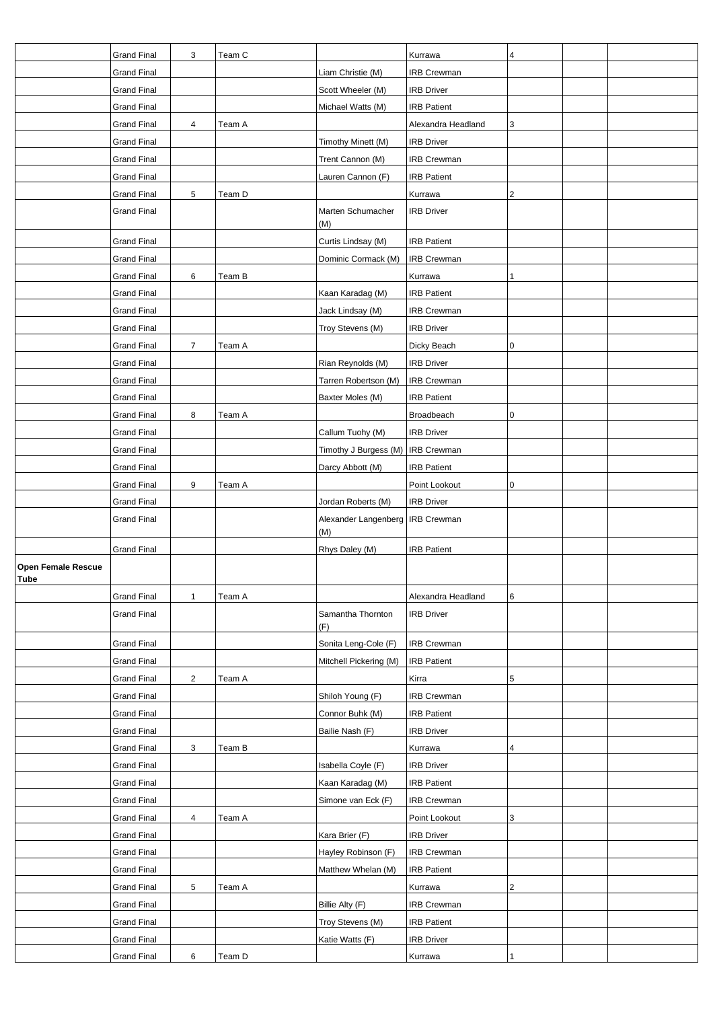|                                          | <b>Grand Final</b> | 3              | Team C |                                           | Kurrawa            | 4           |  |
|------------------------------------------|--------------------|----------------|--------|-------------------------------------------|--------------------|-------------|--|
|                                          | <b>Grand Final</b> |                |        | Liam Christie (M)                         | <b>IRB Crewman</b> |             |  |
|                                          | <b>Grand Final</b> |                |        | Scott Wheeler (M)                         | <b>IRB Driver</b>  |             |  |
|                                          | <b>Grand Final</b> |                |        | Michael Watts (M)                         | <b>IRB Patient</b> |             |  |
|                                          | <b>Grand Final</b> | 4              | Team A |                                           | Alexandra Headland | 3           |  |
|                                          | <b>Grand Final</b> |                |        | Timothy Minett (M)                        | <b>IRB Driver</b>  |             |  |
|                                          | <b>Grand Final</b> |                |        | Trent Cannon (M)                          | <b>IRB Crewman</b> |             |  |
|                                          | <b>Grand Final</b> |                |        | Lauren Cannon (F)                         | <b>IRB Patient</b> |             |  |
|                                          | <b>Grand Final</b> | $\sqrt{5}$     | Team D |                                           | Kurrawa            | 2           |  |
|                                          | <b>Grand Final</b> |                |        | Marten Schumacher<br>(M)                  | <b>IRB Driver</b>  |             |  |
|                                          | <b>Grand Final</b> |                |        | Curtis Lindsay (M)                        | <b>IRB Patient</b> |             |  |
|                                          | <b>Grand Final</b> |                |        | Dominic Cormack (M)                       | <b>IRB Crewman</b> |             |  |
|                                          | <b>Grand Final</b> | 6              | Team B |                                           | Kurrawa            | 1           |  |
|                                          | <b>Grand Final</b> |                |        | Kaan Karadag (M)                          | <b>IRB Patient</b> |             |  |
|                                          | <b>Grand Final</b> |                |        | Jack Lindsay (M)                          | <b>IRB Crewman</b> |             |  |
|                                          | <b>Grand Final</b> |                |        | Troy Stevens (M)                          | <b>IRB Driver</b>  |             |  |
|                                          | <b>Grand Final</b> | $\overline{7}$ | Team A |                                           | Dicky Beach        | $\mathbf 0$ |  |
|                                          | <b>Grand Final</b> |                |        | Rian Reynolds (M)                         | <b>IRB Driver</b>  |             |  |
|                                          | <b>Grand Final</b> |                |        | Tarren Robertson (M)                      | <b>IRB Crewman</b> |             |  |
|                                          | <b>Grand Final</b> |                |        | Baxter Moles (M)                          | <b>IRB Patient</b> |             |  |
|                                          | <b>Grand Final</b> | 8              | Team A |                                           | Broadbeach         | 0           |  |
|                                          | <b>Grand Final</b> |                |        | Callum Tuohy (M)                          | <b>IRB Driver</b>  |             |  |
|                                          | <b>Grand Final</b> |                |        | Timothy J Burgess (M)                     | <b>IRB</b> Crewman |             |  |
|                                          | <b>Grand Final</b> |                |        | Darcy Abbott (M)                          | <b>IRB Patient</b> |             |  |
|                                          | <b>Grand Final</b> | 9              | Team A |                                           | Point Lookout      | 0           |  |
|                                          | <b>Grand Final</b> |                |        | Jordan Roberts (M)                        | <b>IRB Driver</b>  |             |  |
|                                          | <b>Grand Final</b> |                |        | Alexander Langenberg   IRB Crewman<br>(M) |                    |             |  |
|                                          | <b>Grand Final</b> |                |        | Rhys Daley (M)                            | <b>IRB Patient</b> |             |  |
| <b>Open Female Rescue</b><br><b>Tube</b> |                    |                |        |                                           |                    |             |  |
|                                          | <b>Grand Final</b> | $\mathbf{1}$   | Team A |                                           | Alexandra Headland | 6           |  |
|                                          | <b>Grand Final</b> |                |        | Samantha Thornton<br>(F)                  | <b>IRB Driver</b>  |             |  |
|                                          | <b>Grand Final</b> |                |        | Sonita Leng-Cole (F)                      | <b>IRB Crewman</b> |             |  |
|                                          | <b>Grand Final</b> |                |        | Mitchell Pickering (M)                    | <b>IRB Patient</b> |             |  |
|                                          | <b>Grand Final</b> | $\overline{c}$ | Team A |                                           | Kirra              | 5           |  |
|                                          | <b>Grand Final</b> |                |        | Shiloh Young (F)                          | IRB Crewman        |             |  |
|                                          | <b>Grand Final</b> |                |        | Connor Buhk (M)                           | <b>IRB Patient</b> |             |  |
|                                          | <b>Grand Final</b> |                |        | Bailie Nash (F)                           | <b>IRB Driver</b>  |             |  |
|                                          | <b>Grand Final</b> | 3              | Team B |                                           | Kurrawa            | 4           |  |
|                                          | <b>Grand Final</b> |                |        | Isabella Coyle (F)                        | <b>IRB Driver</b>  |             |  |
|                                          | <b>Grand Final</b> |                |        | Kaan Karadag (M)                          | <b>IRB Patient</b> |             |  |
|                                          | <b>Grand Final</b> |                |        | Simone van Eck (F)                        | <b>IRB Crewman</b> |             |  |
|                                          | <b>Grand Final</b> | 4              | Team A |                                           | Point Lookout      | 3           |  |
|                                          | <b>Grand Final</b> |                |        | Kara Brier (F)                            | <b>IRB Driver</b>  |             |  |
|                                          | <b>Grand Final</b> |                |        | Hayley Robinson (F)                       | <b>IRB Crewman</b> |             |  |
|                                          | <b>Grand Final</b> |                |        | Matthew Whelan (M)                        | <b>IRB Patient</b> |             |  |
|                                          | <b>Grand Final</b> | 5              | Team A |                                           | Kurrawa            | $\sqrt{2}$  |  |
|                                          | <b>Grand Final</b> |                |        | Billie Alty (F)                           | <b>IRB Crewman</b> |             |  |
|                                          | <b>Grand Final</b> |                |        | Troy Stevens (M)                          | <b>IRB Patient</b> |             |  |
|                                          | <b>Grand Final</b> |                |        | Katie Watts (F)                           | <b>IRB Driver</b>  |             |  |
|                                          | <b>Grand Final</b> | 6              | Team D |                                           | Kurrawa            |             |  |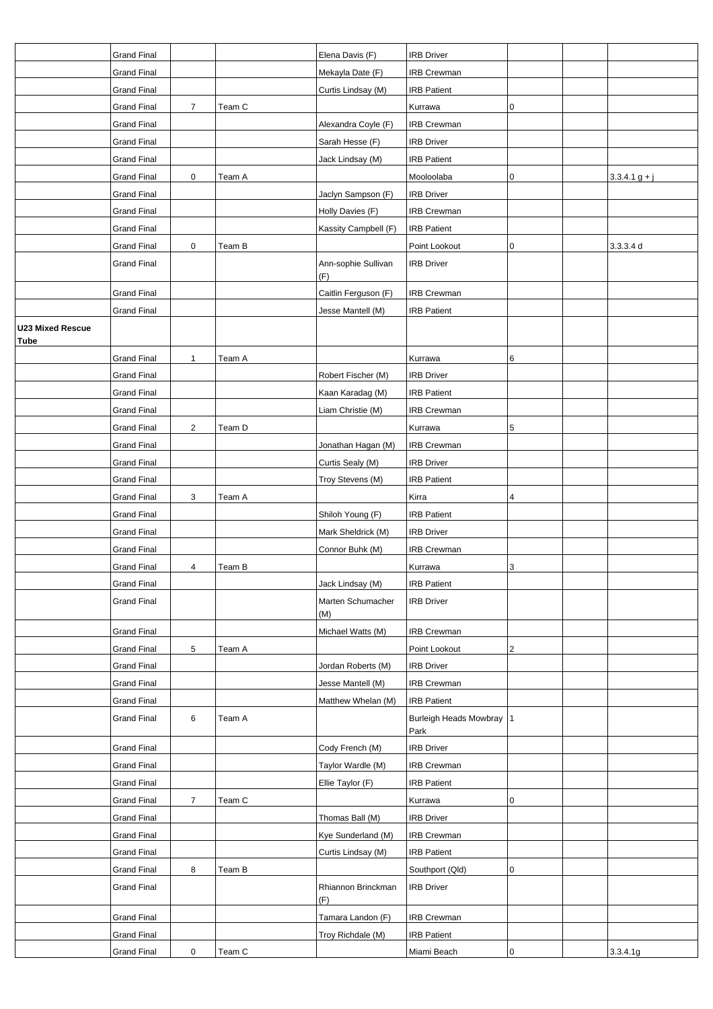|                         | <b>Grand Final</b> |                |        | Elena Davis (F)            | <b>IRB Driver</b>                  |           |                 |
|-------------------------|--------------------|----------------|--------|----------------------------|------------------------------------|-----------|-----------------|
|                         | <b>Grand Final</b> |                |        | Mekayla Date (F)           | <b>IRB Crewman</b>                 |           |                 |
|                         | <b>Grand Final</b> |                |        | Curtis Lindsay (M)         | <b>IRB Patient</b>                 |           |                 |
|                         | <b>Grand Final</b> | $\overline{7}$ | Team C |                            | Kurrawa                            | 0         |                 |
|                         | <b>Grand Final</b> |                |        | Alexandra Coyle (F)        | <b>IRB Crewman</b>                 |           |                 |
|                         | <b>Grand Final</b> |                |        | Sarah Hesse (F)            | <b>IRB Driver</b>                  |           |                 |
|                         | <b>Grand Final</b> |                |        | Jack Lindsay (M)           | <b>IRB Patient</b>                 |           |                 |
|                         | <b>Grand Final</b> | 0              | Team A |                            | Mooloolaba                         | 0         | $3.3.4.1 g + j$ |
|                         | <b>Grand Final</b> |                |        | Jaclyn Sampson (F)         | <b>IRB Driver</b>                  |           |                 |
|                         | <b>Grand Final</b> |                |        | Holly Davies (F)           | <b>IRB Crewman</b>                 |           |                 |
|                         | <b>Grand Final</b> |                |        | Kassity Campbell (F)       | <b>IRB Patient</b>                 |           |                 |
|                         | <b>Grand Final</b> | $\mathbf 0$    | Team B |                            | Point Lookout                      | 0         | 3.3.3.4 d       |
|                         | <b>Grand Final</b> |                |        | Ann-sophie Sullivan<br>(F) | <b>IRB Driver</b>                  |           |                 |
|                         | <b>Grand Final</b> |                |        | Caitlin Ferguson (F)       | <b>IRB Crewman</b>                 |           |                 |
|                         | <b>Grand Final</b> |                |        | Jesse Mantell (M)          | <b>IRB Patient</b>                 |           |                 |
| <b>U23 Mixed Rescue</b> |                    |                |        |                            |                                    |           |                 |
| <b>Tube</b>             |                    |                |        |                            |                                    |           |                 |
|                         | <b>Grand Final</b> | $\mathbf{1}$   | Team A |                            | Kurrawa                            | 6         |                 |
|                         | <b>Grand Final</b> |                |        | Robert Fischer (M)         | <b>IRB Driver</b>                  |           |                 |
|                         | <b>Grand Final</b> |                |        | Kaan Karadag (M)           | <b>IRB Patient</b>                 |           |                 |
|                         | <b>Grand Final</b> |                |        | Liam Christie (M)          | <b>IRB Crewman</b>                 |           |                 |
|                         | <b>Grand Final</b> | $\overline{2}$ | Team D |                            | Kurrawa                            | 5         |                 |
|                         | <b>Grand Final</b> |                |        | Jonathan Hagan (M)         | IRB Crewman                        |           |                 |
|                         | <b>Grand Final</b> |                |        | Curtis Sealy (M)           | <b>IRB Driver</b>                  |           |                 |
|                         | <b>Grand Final</b> |                |        | Troy Stevens (M)           | <b>IRB Patient</b>                 |           |                 |
|                         | <b>Grand Final</b> | 3              | Team A |                            | Kirra                              | 4         |                 |
|                         | <b>Grand Final</b> |                |        | Shiloh Young (F)           | <b>IRB Patient</b>                 |           |                 |
|                         | <b>Grand Final</b> |                |        | Mark Sheldrick (M)         | <b>IRB Driver</b>                  |           |                 |
|                         | <b>Grand Final</b> |                |        | Connor Buhk (M)            | IRB Crewman                        |           |                 |
|                         | <b>Grand Final</b> | 4              | Team B |                            | Kurrawa                            | 3         |                 |
|                         | Grand Final        |                |        | Jack Lindsay (M)           | <b>IRB Patient</b>                 |           |                 |
|                         | <b>Grand Final</b> |                |        | Marten Schumacher<br>(M)   | <b>IRB Driver</b>                  |           |                 |
|                         | <b>Grand Final</b> |                |        | Michael Watts (M)          | <b>IRB Crewman</b>                 |           |                 |
|                         | <b>Grand Final</b> | 5              | Team A |                            | Point Lookout                      | 2         |                 |
|                         | <b>Grand Final</b> |                |        | Jordan Roberts (M)         | <b>IRB Driver</b>                  |           |                 |
|                         | <b>Grand Final</b> |                |        | Jesse Mantell (M)          | <b>IRB Crewman</b>                 |           |                 |
|                         | <b>Grand Final</b> |                |        | Matthew Whelan (M)         | <b>IRB Patient</b>                 |           |                 |
|                         | <b>Grand Final</b> | 6              | Team A |                            | Burleigh Heads Mowbray   1<br>Park |           |                 |
|                         | <b>Grand Final</b> |                |        | Cody French (M)            | <b>IRB Driver</b>                  |           |                 |
|                         | <b>Grand Final</b> |                |        | Taylor Wardle (M)          | IRB Crewman                        |           |                 |
|                         | <b>Grand Final</b> |                |        | Ellie Taylor (F)           | <b>IRB Patient</b>                 |           |                 |
|                         | <b>Grand Final</b> | $\overline{7}$ | Team C |                            | Kurrawa                            | 0         |                 |
|                         | <b>Grand Final</b> |                |        | Thomas Ball (M)            | <b>IRB Driver</b>                  |           |                 |
|                         | <b>Grand Final</b> |                |        | Kye Sunderland (M)         | <b>IRB Crewman</b>                 |           |                 |
|                         | <b>Grand Final</b> |                |        | Curtis Lindsay (M)         | <b>IRB Patient</b>                 |           |                 |
|                         | <b>Grand Final</b> | 8              | Team B |                            | Southport (Qld)                    | 0         |                 |
|                         | <b>Grand Final</b> |                |        | Rhiannon Brinckman<br>(F)  | <b>IRB Driver</b>                  |           |                 |
|                         | <b>Grand Final</b> |                |        | Tamara Landon (F)          | <b>IRB Crewman</b>                 |           |                 |
|                         | <b>Grand Final</b> |                |        | Troy Richdale (M)          | <b>IRB Patient</b>                 |           |                 |
|                         | <b>Grand Final</b> | 0              | Team C |                            | Miami Beach                        | $\pmb{0}$ | 3.3.4.1g        |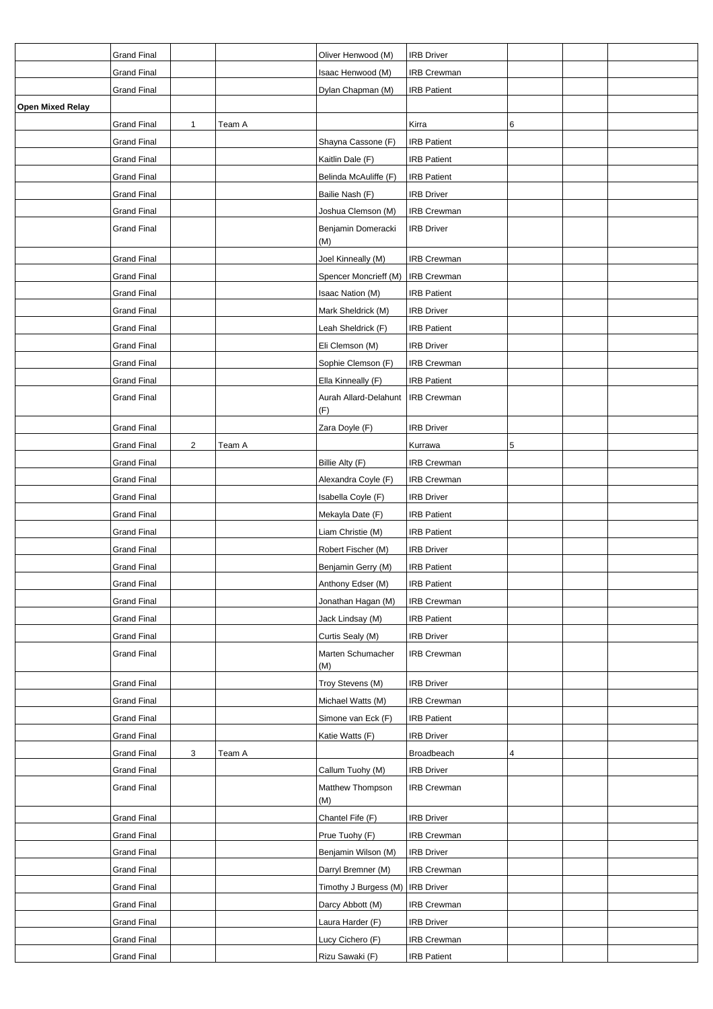|                         | <b>Grand Final</b> |   |        | Oliver Henwood (M)                 | <b>IRB Driver</b>  |   |  |
|-------------------------|--------------------|---|--------|------------------------------------|--------------------|---|--|
|                         | <b>Grand Final</b> |   |        | Isaac Henwood (M)                  | <b>IRB Crewman</b> |   |  |
|                         | <b>Grand Final</b> |   |        | Dylan Chapman (M)                  | <b>IRB Patient</b> |   |  |
| <b>Open Mixed Relay</b> |                    |   |        |                                    |                    |   |  |
|                         | <b>Grand Final</b> | 1 | Team A |                                    | Kirra              | 6 |  |
|                         | <b>Grand Final</b> |   |        | Shayna Cassone (F)                 | <b>IRB Patient</b> |   |  |
|                         | <b>Grand Final</b> |   |        | Kaitlin Dale (F)                   | <b>IRB Patient</b> |   |  |
|                         | <b>Grand Final</b> |   |        | Belinda McAuliffe (F)              | <b>IRB Patient</b> |   |  |
|                         | <b>Grand Final</b> |   |        | Bailie Nash (F)                    | <b>IRB Driver</b>  |   |  |
|                         | <b>Grand Final</b> |   |        | Joshua Clemson (M)                 | IRB Crewman        |   |  |
|                         | <b>Grand Final</b> |   |        | Benjamin Domeracki<br>(M)          | <b>IRB Driver</b>  |   |  |
|                         | <b>Grand Final</b> |   |        | Joel Kinneally (M)                 | <b>IRB Crewman</b> |   |  |
|                         | <b>Grand Final</b> |   |        | Spencer Moncrieff (M)              | <b>IRB Crewman</b> |   |  |
|                         | <b>Grand Final</b> |   |        | Isaac Nation (M)                   | <b>IRB Patient</b> |   |  |
|                         | <b>Grand Final</b> |   |        | Mark Sheldrick (M)                 | <b>IRB Driver</b>  |   |  |
|                         | <b>Grand Final</b> |   |        | Leah Sheldrick (F)                 | <b>IRB Patient</b> |   |  |
|                         | <b>Grand Final</b> |   |        | Eli Clemson (M)                    | <b>IRB Driver</b>  |   |  |
|                         | <b>Grand Final</b> |   |        | Sophie Clemson (F)                 | <b>IRB Crewman</b> |   |  |
|                         | <b>Grand Final</b> |   |        | Ella Kinneally (F)                 | <b>IRB Patient</b> |   |  |
|                         | <b>Grand Final</b> |   |        | Aurah Allard-Delahunt<br>(F)       | <b>IRB Crewman</b> |   |  |
|                         | <b>Grand Final</b> |   |        | Zara Doyle (F)                     | <b>IRB Driver</b>  |   |  |
|                         | <b>Grand Final</b> | 2 | Team A |                                    | Kurrawa            | 5 |  |
|                         | <b>Grand Final</b> |   |        | Billie Alty (F)                    | <b>IRB Crewman</b> |   |  |
|                         | <b>Grand Final</b> |   |        | Alexandra Coyle (F)                | <b>IRB Crewman</b> |   |  |
|                         | Grand Final        |   |        | Isabella Coyle (F)                 | <b>IRB Driver</b>  |   |  |
|                         | <b>Grand Final</b> |   |        | Mekayla Date (F)                   | <b>IRB Patient</b> |   |  |
|                         | <b>Grand Final</b> |   |        | Liam Christie (M)                  | <b>IRB Patient</b> |   |  |
|                         | <b>Grand Final</b> |   |        | Robert Fischer (M)                 | <b>IRB Driver</b>  |   |  |
|                         | Grand Final        |   |        | Benjamin Gerry (M)                 | <b>IRB Patient</b> |   |  |
|                         | <b>Grand Final</b> |   |        | Anthony Edser (M)                  | <b>IRB Patient</b> |   |  |
|                         | <b>Grand Final</b> |   |        | Jonathan Hagan (M)                 | <b>IRB Crewman</b> |   |  |
|                         | <b>Grand Final</b> |   |        | Jack Lindsay (M)                   | <b>IRB Patient</b> |   |  |
|                         | <b>Grand Final</b> |   |        | Curtis Sealy (M)                   | <b>IRB Driver</b>  |   |  |
|                         | <b>Grand Final</b> |   |        | Marten Schumacher<br>(M)           | <b>IRB Crewman</b> |   |  |
|                         | <b>Grand Final</b> |   |        | Troy Stevens (M)                   | <b>IRB Driver</b>  |   |  |
|                         | <b>Grand Final</b> |   |        | Michael Watts (M)                  | <b>IRB Crewman</b> |   |  |
|                         | <b>Grand Final</b> |   |        | Simone van Eck (F)                 | <b>IRB Patient</b> |   |  |
|                         | <b>Grand Final</b> |   |        | Katie Watts (F)                    | <b>IRB Driver</b>  |   |  |
|                         | <b>Grand Final</b> | 3 | Team A |                                    | Broadbeach         | 4 |  |
|                         | <b>Grand Final</b> |   |        | Callum Tuohy (M)                   | <b>IRB Driver</b>  |   |  |
|                         | <b>Grand Final</b> |   |        | Matthew Thompson<br>(M)            | <b>IRB Crewman</b> |   |  |
|                         | <b>Grand Final</b> |   |        | Chantel Fife (F)                   | <b>IRB Driver</b>  |   |  |
|                         | <b>Grand Final</b> |   |        | Prue Tuohy (F)                     | <b>IRB Crewman</b> |   |  |
|                         | <b>Grand Final</b> |   |        | Benjamin Wilson (M)                | <b>IRB Driver</b>  |   |  |
|                         | <b>Grand Final</b> |   |        | Darryl Bremner (M)                 | <b>IRB Crewman</b> |   |  |
|                         | <b>Grand Final</b> |   |        | Timothy J Burgess (M)   IRB Driver |                    |   |  |
|                         | <b>Grand Final</b> |   |        | Darcy Abbott (M)                   | IRB Crewman        |   |  |
|                         | <b>Grand Final</b> |   |        | Laura Harder (F)                   | <b>IRB Driver</b>  |   |  |
|                         | <b>Grand Final</b> |   |        | Lucy Cichero (F)                   | <b>IRB Crewman</b> |   |  |
|                         | <b>Grand Final</b> |   |        | Rizu Sawaki (F)                    | <b>IRB Patient</b> |   |  |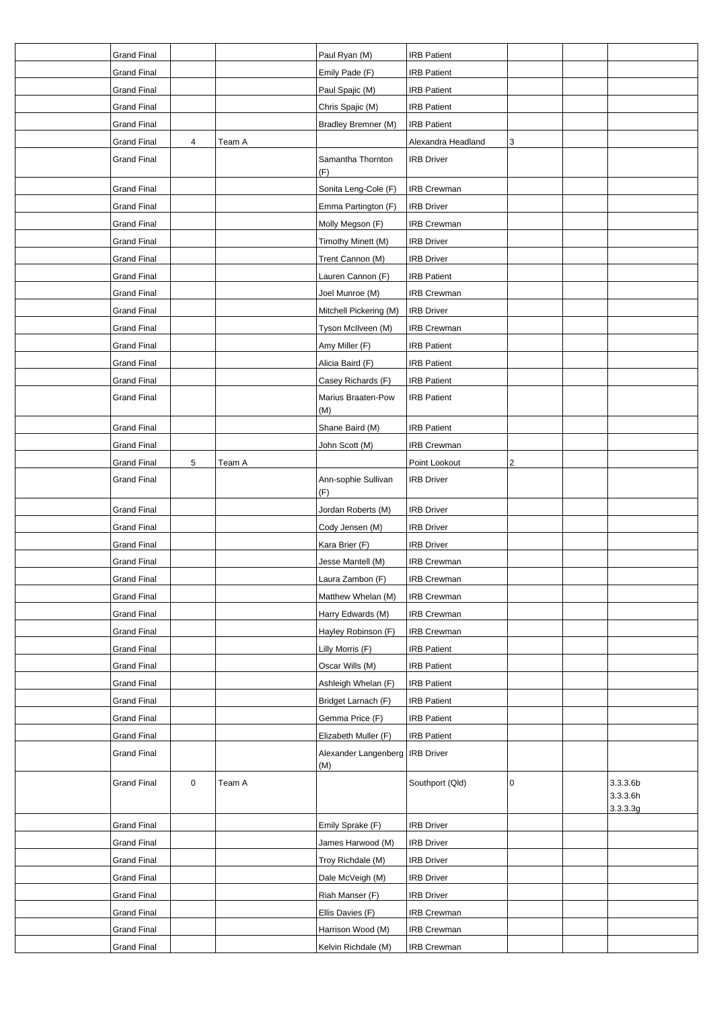| <b>Grand Final</b> |                |        | Paul Ryan (M)                     | <b>IRB Patient</b> |                         |                      |
|--------------------|----------------|--------|-----------------------------------|--------------------|-------------------------|----------------------|
| <b>Grand Final</b> |                |        | Emily Pade (F)                    | <b>IRB Patient</b> |                         |                      |
| <b>Grand Final</b> |                |        | Paul Spajic (M)                   | <b>IRB Patient</b> |                         |                      |
| <b>Grand Final</b> |                |        | Chris Spajic (M)                  | <b>IRB Patient</b> |                         |                      |
| <b>Grand Final</b> |                |        | Bradley Bremner (M)               | <b>IRB Patient</b> |                         |                      |
| <b>Grand Final</b> | $\overline{4}$ | Team A |                                   | Alexandra Headland | 3                       |                      |
| <b>Grand Final</b> |                |        | Samantha Thornton                 | <b>IRB Driver</b>  |                         |                      |
|                    |                |        | (F)                               |                    |                         |                      |
| <b>Grand Final</b> |                |        | Sonita Leng-Cole (F)              | <b>IRB Crewman</b> |                         |                      |
| <b>Grand Final</b> |                |        | Emma Partington (F)               | <b>IRB Driver</b>  |                         |                      |
| <b>Grand Final</b> |                |        | Molly Megson (F)                  | <b>IRB Crewman</b> |                         |                      |
| <b>Grand Final</b> |                |        | Timothy Minett (M)                | <b>IRB Driver</b>  |                         |                      |
| <b>Grand Final</b> |                |        | Trent Cannon (M)                  | <b>IRB Driver</b>  |                         |                      |
| <b>Grand Final</b> |                |        | Lauren Cannon (F)                 | <b>IRB Patient</b> |                         |                      |
| <b>Grand Final</b> |                |        | Joel Munroe (M)                   | IRB Crewman        |                         |                      |
| <b>Grand Final</b> |                |        | Mitchell Pickering (M)            | <b>IRB Driver</b>  |                         |                      |
| <b>Grand Final</b> |                |        | Tyson McIlveen (M)                | <b>IRB Crewman</b> |                         |                      |
| <b>Grand Final</b> |                |        | Amy Miller (F)                    | <b>IRB Patient</b> |                         |                      |
| <b>Grand Final</b> |                |        | Alicia Baird (F)                  | <b>IRB Patient</b> |                         |                      |
| <b>Grand Final</b> |                |        | Casey Richards (F)                | <b>IRB Patient</b> |                         |                      |
| <b>Grand Final</b> |                |        | Marius Braaten-Pow                | <b>IRB Patient</b> |                         |                      |
|                    |                |        | (M)                               |                    |                         |                      |
| <b>Grand Final</b> |                |        | Shane Baird (M)                   | <b>IRB Patient</b> |                         |                      |
| <b>Grand Final</b> |                |        | John Scott (M)                    | IRB Crewman        |                         |                      |
| <b>Grand Final</b> | 5              | Team A |                                   | Point Lookout      | $\overline{\mathbf{c}}$ |                      |
| <b>Grand Final</b> |                |        | Ann-sophie Sullivan               | <b>IRB Driver</b>  |                         |                      |
|                    |                |        | (F)                               |                    |                         |                      |
| <b>Grand Final</b> |                |        | Jordan Roberts (M)                | <b>IRB Driver</b>  |                         |                      |
| <b>Grand Final</b> |                |        | Cody Jensen (M)                   | <b>IRB Driver</b>  |                         |                      |
| <b>Grand Final</b> |                |        | Kara Brier (F)                    | <b>IRB Driver</b>  |                         |                      |
| <b>Grand Final</b> |                |        | Jesse Mantell (M)                 | <b>IRB Crewman</b> |                         |                      |
| <b>Grand Final</b> |                |        | Laura Zambon (F)                  | <b>IRB Crewman</b> |                         |                      |
| <b>Grand Final</b> |                |        | Matthew Whelan (M)                | IRB Crewman        |                         |                      |
| <b>Grand Final</b> |                |        | Harry Edwards (M)                 | <b>IRB Crewman</b> |                         |                      |
| <b>Grand Final</b> |                |        | Hayley Robinson (F)               | <b>IRB Crewman</b> |                         |                      |
| <b>Grand Final</b> |                |        | Lilly Morris (F)                  | <b>IRB Patient</b> |                         |                      |
| <b>Grand Final</b> |                |        | Oscar Wills (M)                   | <b>IRB Patient</b> |                         |                      |
| <b>Grand Final</b> |                |        | Ashleigh Whelan (F)               | <b>IRB Patient</b> |                         |                      |
| <b>Grand Final</b> |                |        | Bridget Larnach (F)               | <b>IRB Patient</b> |                         |                      |
| <b>Grand Final</b> |                |        | Gemma Price (F)                   | <b>IRB Patient</b> |                         |                      |
| <b>Grand Final</b> |                |        | Elizabeth Muller (F)              | <b>IRB Patient</b> |                         |                      |
| <b>Grand Final</b> |                |        | Alexander Langenberg   IRB Driver |                    |                         |                      |
|                    |                |        | (M)                               |                    |                         |                      |
| <b>Grand Final</b> | $\pmb{0}$      | Team A |                                   | Southport (Qld)    | 0                       | 3.3.3.6b             |
|                    |                |        |                                   |                    |                         | 3.3.3.6h<br>3.3.3.3g |
| <b>Grand Final</b> |                |        | Emily Sprake (F)                  | <b>IRB Driver</b>  |                         |                      |
| <b>Grand Final</b> |                |        | James Harwood (M)                 | <b>IRB Driver</b>  |                         |                      |
| <b>Grand Final</b> |                |        | Troy Richdale (M)                 | <b>IRB Driver</b>  |                         |                      |
| <b>Grand Final</b> |                |        | Dale McVeigh (M)                  | <b>IRB Driver</b>  |                         |                      |
| <b>Grand Final</b> |                |        | Riah Manser (F)                   | <b>IRB Driver</b>  |                         |                      |
| <b>Grand Final</b> |                |        | Ellis Davies (F)                  | <b>IRB Crewman</b> |                         |                      |
| <b>Grand Final</b> |                |        | Harrison Wood (M)                 | <b>IRB Crewman</b> |                         |                      |
| <b>Grand Final</b> |                |        | Kelvin Richdale (M)               | <b>IRB Crewman</b> |                         |                      |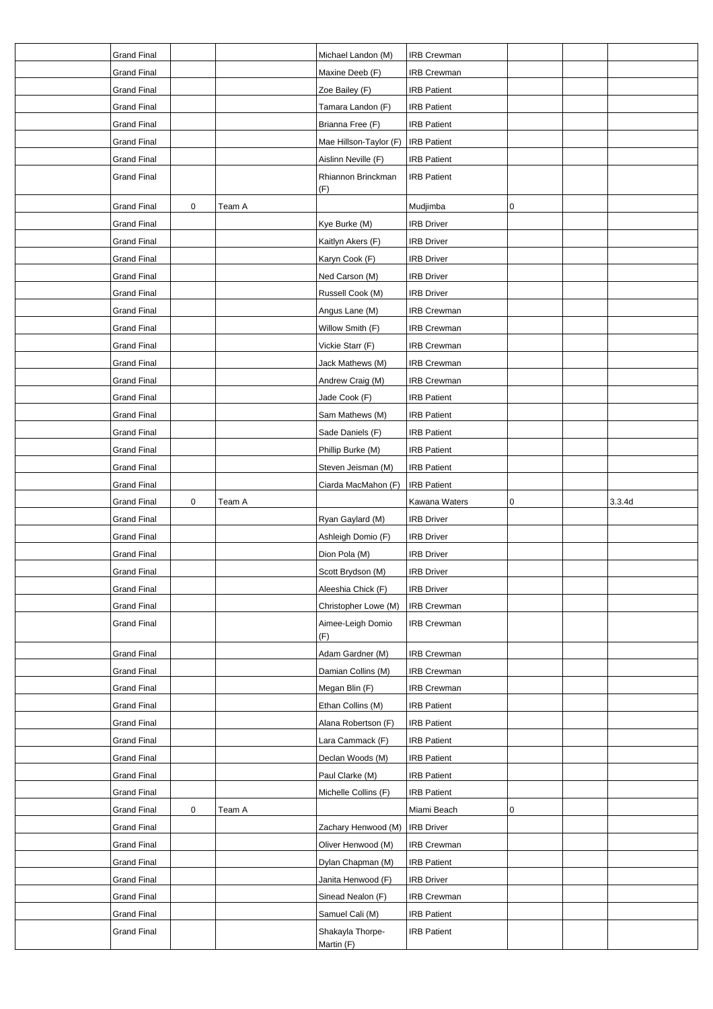| <b>Grand Final</b> |           |        | Michael Landon (M)       | IRB Crewman        |   |        |
|--------------------|-----------|--------|--------------------------|--------------------|---|--------|
| <b>Grand Final</b> |           |        | Maxine Deeb (F)          | IRB Crewman        |   |        |
| <b>Grand Final</b> |           |        | Zoe Bailey (F)           | <b>IRB Patient</b> |   |        |
| <b>Grand Final</b> |           |        | Tamara Landon (F)        | <b>IRB Patient</b> |   |        |
| <b>Grand Final</b> |           |        | Brianna Free (F)         | <b>IRB Patient</b> |   |        |
| <b>Grand Final</b> |           |        | Mae Hillson-Taylor (F)   | <b>IRB Patient</b> |   |        |
| <b>Grand Final</b> |           |        | Aislinn Neville (F)      | <b>IRB Patient</b> |   |        |
| <b>Grand Final</b> |           |        | Rhiannon Brinckman       | <b>IRB Patient</b> |   |        |
|                    |           |        | (F)                      |                    |   |        |
| <b>Grand Final</b> | $\pmb{0}$ | Team A |                          | Mudjimba           | 0 |        |
| <b>Grand Final</b> |           |        | Kye Burke (M)            | <b>IRB Driver</b>  |   |        |
| <b>Grand Final</b> |           |        | Kaitlyn Akers (F)        | <b>IRB Driver</b>  |   |        |
| <b>Grand Final</b> |           |        | Karyn Cook (F)           | <b>IRB Driver</b>  |   |        |
| <b>Grand Final</b> |           |        | Ned Carson (M)           | <b>IRB Driver</b>  |   |        |
| <b>Grand Final</b> |           |        | Russell Cook (M)         | <b>IRB Driver</b>  |   |        |
| <b>Grand Final</b> |           |        | Angus Lane (M)           | IRB Crewman        |   |        |
| <b>Grand Final</b> |           |        | Willow Smith (F)         | IRB Crewman        |   |        |
| <b>Grand Final</b> |           |        | Vickie Starr (F)         | <b>IRB Crewman</b> |   |        |
| <b>Grand Final</b> |           |        | Jack Mathews (M)         | IRB Crewman        |   |        |
| <b>Grand Final</b> |           |        | Andrew Craig (M)         | IRB Crewman        |   |        |
| <b>Grand Final</b> |           |        | Jade Cook (F)            | <b>IRB Patient</b> |   |        |
| <b>Grand Final</b> |           |        | Sam Mathews (M)          | <b>IRB Patient</b> |   |        |
| <b>Grand Final</b> |           |        | Sade Daniels (F)         | <b>IRB Patient</b> |   |        |
| <b>Grand Final</b> |           |        | Phillip Burke (M)        | <b>IRB Patient</b> |   |        |
| <b>Grand Final</b> |           |        | Steven Jeisman (M)       | <b>IRB</b> Patient |   |        |
| <b>Grand Final</b> |           |        | Ciarda MacMahon (F)      | <b>IRB Patient</b> |   |        |
|                    |           |        |                          |                    |   |        |
|                    |           |        |                          |                    |   |        |
| <b>Grand Final</b> | 0         | Team A |                          | Kawana Waters      | 0 | 3.3.4d |
| <b>Grand Final</b> |           |        | Ryan Gaylard (M)         | <b>IRB Driver</b>  |   |        |
| <b>Grand Final</b> |           |        | Ashleigh Domio (F)       | <b>IRB Driver</b>  |   |        |
| <b>Grand Final</b> |           |        | Dion Pola (M)            | <b>IRB Driver</b>  |   |        |
| <b>Grand Final</b> |           |        | Scott Brydson (M)        | <b>IRB</b> Driver  |   |        |
| <b>Grand Final</b> |           |        | Aleeshia Chick (F)       | <b>IRB Driver</b>  |   |        |
| <b>Grand Final</b> |           |        | Christopher Lowe (M)     | IRB Crewman        |   |        |
| <b>Grand Final</b> |           |        | Aimee-Leigh Domio<br>(F) | <b>IRB Crewman</b> |   |        |
| <b>Grand Final</b> |           |        | Adam Gardner (M)         | <b>IRB Crewman</b> |   |        |
| <b>Grand Final</b> |           |        | Damian Collins (M)       | IRB Crewman        |   |        |
| <b>Grand Final</b> |           |        | Megan Blin (F)           | <b>IRB Crewman</b> |   |        |
| <b>Grand Final</b> |           |        | Ethan Collins (M)        | <b>IRB Patient</b> |   |        |
| <b>Grand Final</b> |           |        | Alana Robertson (F)      | <b>IRB Patient</b> |   |        |
| <b>Grand Final</b> |           |        | Lara Cammack (F)         | <b>IRB Patient</b> |   |        |
| <b>Grand Final</b> |           |        | Declan Woods (M)         | <b>IRB Patient</b> |   |        |
| <b>Grand Final</b> |           |        | Paul Clarke (M)          | <b>IRB Patient</b> |   |        |
| <b>Grand Final</b> |           |        | Michelle Collins (F)     | <b>IRB Patient</b> |   |        |
| <b>Grand Final</b> | 0         | Team A |                          | Miami Beach        | 0 |        |
| <b>Grand Final</b> |           |        | Zachary Henwood (M)      | <b>IRB Driver</b>  |   |        |
| <b>Grand Final</b> |           |        | Oliver Henwood (M)       | IRB Crewman        |   |        |
| <b>Grand Final</b> |           |        | Dylan Chapman (M)        | <b>IRB Patient</b> |   |        |
| <b>Grand Final</b> |           |        | Janita Henwood (F)       | <b>IRB Driver</b>  |   |        |
| <b>Grand Final</b> |           |        | Sinead Nealon (F)        | IRB Crewman        |   |        |
| <b>Grand Final</b> |           |        | Samuel Cali (M)          | <b>IRB Patient</b> |   |        |
| <b>Grand Final</b> |           |        | Shakayla Thorpe-         | <b>IRB Patient</b> |   |        |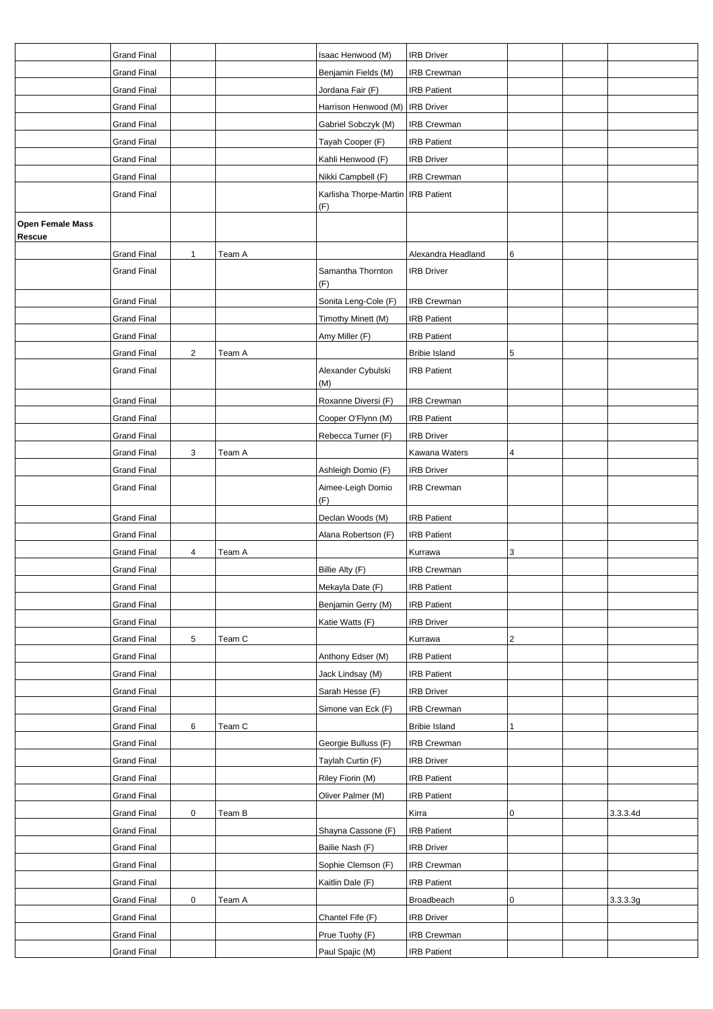|                                   | <b>Grand Final</b> |                |        | Isaac Henwood (M)                    | <b>IRB Driver</b>    |           |          |
|-----------------------------------|--------------------|----------------|--------|--------------------------------------|----------------------|-----------|----------|
|                                   | <b>Grand Final</b> |                |        | Benjamin Fields (M)                  | <b>IRB Crewman</b>   |           |          |
|                                   | <b>Grand Final</b> |                |        | Jordana Fair (F)                     | <b>IRB Patient</b>   |           |          |
|                                   | <b>Grand Final</b> |                |        | Harrison Henwood (M)   IRB Driver    |                      |           |          |
|                                   | <b>Grand Final</b> |                |        | Gabriel Sobczyk (M)                  | <b>IRB Crewman</b>   |           |          |
|                                   | <b>Grand Final</b> |                |        | Tayah Cooper (F)                     | <b>IRB Patient</b>   |           |          |
|                                   | <b>Grand Final</b> |                |        | Kahli Henwood (F)                    | <b>IRB Driver</b>    |           |          |
|                                   | <b>Grand Final</b> |                |        | Nikki Campbell (F)                   | <b>IRB Crewman</b>   |           |          |
|                                   | <b>Grand Final</b> |                |        | Karlisha Thorpe-Martin   IRB Patient |                      |           |          |
|                                   |                    |                |        | (F)                                  |                      |           |          |
| <b>Open Female Mass</b><br>Rescue |                    |                |        |                                      |                      |           |          |
|                                   | <b>Grand Final</b> | 1              | Team A |                                      | Alexandra Headland   | 6         |          |
|                                   | <b>Grand Final</b> |                |        | Samantha Thornton<br>(F)             | <b>IRB Driver</b>    |           |          |
|                                   | <b>Grand Final</b> |                |        | Sonita Leng-Cole (F)                 | <b>IRB Crewman</b>   |           |          |
|                                   | <b>Grand Final</b> |                |        | Timothy Minett (M)                   | <b>IRB Patient</b>   |           |          |
|                                   | <b>Grand Final</b> |                |        | Amy Miller (F)                       | <b>IRB Patient</b>   |           |          |
|                                   | <b>Grand Final</b> | $\overline{2}$ | Team A |                                      | <b>Bribie Island</b> | 5         |          |
|                                   | <b>Grand Final</b> |                |        | Alexander Cybulski<br>(M)            | <b>IRB Patient</b>   |           |          |
|                                   | <b>Grand Final</b> |                |        | Roxanne Diversi (F)                  | <b>IRB Crewman</b>   |           |          |
|                                   | <b>Grand Final</b> |                |        | Cooper O'Flynn (M)                   | <b>IRB Patient</b>   |           |          |
|                                   | <b>Grand Final</b> |                |        | Rebecca Turner (F)                   | <b>IRB Driver</b>    |           |          |
|                                   | <b>Grand Final</b> | 3              | Team A |                                      | Kawana Waters        | 4         |          |
|                                   | <b>Grand Final</b> |                |        | Ashleigh Domio (F)                   | <b>IRB Driver</b>    |           |          |
|                                   | <b>Grand Final</b> |                |        | Aimee-Leigh Domio                    | <b>IRB Crewman</b>   |           |          |
|                                   |                    |                |        | (F)                                  |                      |           |          |
|                                   | <b>Grand Final</b> |                |        | Declan Woods (M)                     | <b>IRB Patient</b>   |           |          |
|                                   | <b>Grand Final</b> |                |        | Alana Robertson (F)                  | <b>IRB Patient</b>   |           |          |
|                                   | <b>Grand Final</b> | 4              | Team A |                                      | Kurrawa              | 3         |          |
|                                   | <b>Grand Final</b> |                |        | Billie Alty (F)                      | <b>IRB Crewman</b>   |           |          |
|                                   | <b>Grand Final</b> |                |        | Mekayla Date (F)                     | <b>IRB Patient</b>   |           |          |
|                                   | <b>Grand Final</b> |                |        | Benjamin Gerry (M)                   | <b>IRB Patient</b>   |           |          |
|                                   | <b>Grand Final</b> |                |        | Katie Watts (F)                      | <b>IRB Driver</b>    |           |          |
|                                   | <b>Grand Final</b> | 5              | Team C |                                      | Kurrawa              | 2         |          |
|                                   | <b>Grand Final</b> |                |        | Anthony Edser (M)                    | <b>IRB Patient</b>   |           |          |
|                                   | <b>Grand Final</b> |                |        | Jack Lindsay (M)                     | <b>IRB Patient</b>   |           |          |
|                                   | <b>Grand Final</b> |                |        | Sarah Hesse (F)                      | <b>IRB Driver</b>    |           |          |
|                                   | <b>Grand Final</b> |                |        | Simone van Eck (F)                   | <b>IRB Crewman</b>   |           |          |
|                                   | <b>Grand Final</b> | 6              | Team C |                                      | <b>Bribie Island</b> | 1         |          |
|                                   | <b>Grand Final</b> |                |        | Georgie Bulluss (F)                  | <b>IRB Crewman</b>   |           |          |
|                                   | <b>Grand Final</b> |                |        | Taylah Curtin (F)                    | <b>IRB Driver</b>    |           |          |
|                                   | <b>Grand Final</b> |                |        | Riley Fiorin (M)                     | <b>IRB Patient</b>   |           |          |
|                                   | <b>Grand Final</b> |                |        | Oliver Palmer (M)                    | <b>IRB Patient</b>   |           |          |
|                                   | <b>Grand Final</b> | 0              | Team B |                                      | Kirra                | 0         | 3.3.3.4d |
|                                   | <b>Grand Final</b> |                |        | Shayna Cassone (F)                   | <b>IRB Patient</b>   |           |          |
|                                   | Grand Final        |                |        | Bailie Nash (F)                      | <b>IRB Driver</b>    |           |          |
|                                   | <b>Grand Final</b> |                |        | Sophie Clemson (F)                   | <b>IRB Crewman</b>   |           |          |
|                                   | <b>Grand Final</b> |                |        | Kaitlin Dale (F)                     | <b>IRB Patient</b>   |           |          |
|                                   | <b>Grand Final</b> | 0              | Team A |                                      | Broadbeach           | $\pmb{0}$ | 3.3.3.3g |
|                                   | <b>Grand Final</b> |                |        | Chantel Fife (F)                     | <b>IRB Driver</b>    |           |          |
|                                   | <b>Grand Final</b> |                |        | Prue Tuohy (F)                       | <b>IRB Crewman</b>   |           |          |
|                                   | <b>Grand Final</b> |                |        | Paul Spajic (M)                      | <b>IRB Patient</b>   |           |          |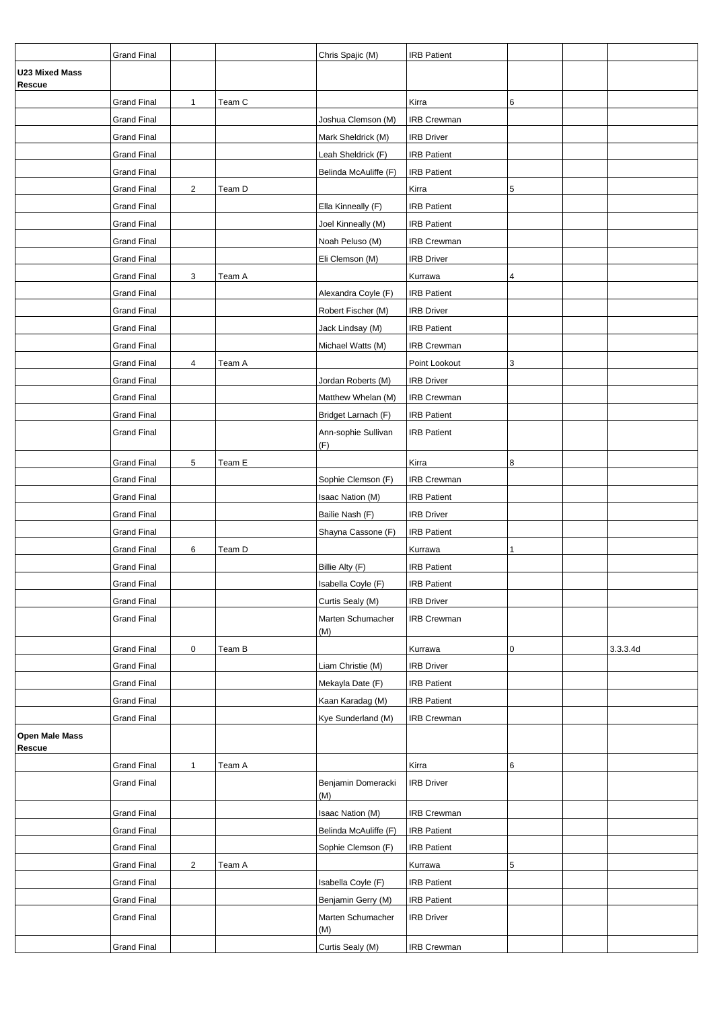|                                 | <b>Grand Final</b> |                |        | Chris Spajic (M)           | <b>IRB Patient</b> |             |          |
|---------------------------------|--------------------|----------------|--------|----------------------------|--------------------|-------------|----------|
| <b>U23 Mixed Mass</b><br>Rescue |                    |                |        |                            |                    |             |          |
|                                 | <b>Grand Final</b> | 1              | Team C |                            | Kirra              | 6           |          |
|                                 | <b>Grand Final</b> |                |        | Joshua Clemson (M)         | <b>IRB Crewman</b> |             |          |
|                                 | <b>Grand Final</b> |                |        | Mark Sheldrick (M)         | <b>IRB Driver</b>  |             |          |
|                                 | <b>Grand Final</b> |                |        | Leah Sheldrick (F)         | <b>IRB Patient</b> |             |          |
|                                 | <b>Grand Final</b> |                |        | Belinda McAuliffe (F)      | <b>IRB Patient</b> |             |          |
|                                 | <b>Grand Final</b> | $\overline{c}$ | Team D |                            | Kirra              | 5           |          |
|                                 | <b>Grand Final</b> |                |        | Ella Kinneally (F)         | <b>IRB Patient</b> |             |          |
|                                 | <b>Grand Final</b> |                |        | Joel Kinneally (M)         | <b>IRB Patient</b> |             |          |
|                                 | <b>Grand Final</b> |                |        | Noah Peluso (M)            | <b>IRB Crewman</b> |             |          |
|                                 | <b>Grand Final</b> |                |        | Eli Clemson (M)            | <b>IRB Driver</b>  |             |          |
|                                 | <b>Grand Final</b> | 3              | Team A |                            | Kurrawa            | 4           |          |
|                                 | <b>Grand Final</b> |                |        | Alexandra Coyle (F)        | <b>IRB Patient</b> |             |          |
|                                 | <b>Grand Final</b> |                |        | Robert Fischer (M)         | <b>IRB Driver</b>  |             |          |
|                                 | <b>Grand Final</b> |                |        | Jack Lindsay (M)           | <b>IRB Patient</b> |             |          |
|                                 | <b>Grand Final</b> |                |        | Michael Watts (M)          | <b>IRB Crewman</b> |             |          |
|                                 | <b>Grand Final</b> | 4              | Team A |                            | Point Lookout      | 3           |          |
|                                 | <b>Grand Final</b> |                |        | Jordan Roberts (M)         | <b>IRB Driver</b>  |             |          |
|                                 | <b>Grand Final</b> |                |        | Matthew Whelan (M)         | <b>IRB Crewman</b> |             |          |
|                                 | <b>Grand Final</b> |                |        | Bridget Larnach (F)        | <b>IRB Patient</b> |             |          |
|                                 | <b>Grand Final</b> |                |        | Ann-sophie Sullivan<br>(F) | <b>IRB Patient</b> |             |          |
|                                 | <b>Grand Final</b> | 5              | Team E |                            | Kirra              | 8           |          |
|                                 | <b>Grand Final</b> |                |        | Sophie Clemson (F)         | <b>IRB Crewman</b> |             |          |
|                                 | Grand Final        |                |        | Isaac Nation (M)           | <b>IRB Patient</b> |             |          |
|                                 | <b>Grand Final</b> |                |        | Bailie Nash (F)            | <b>IRB Driver</b>  |             |          |
|                                 | <b>Grand Final</b> |                |        | Shayna Cassone (F)         | <b>IRB Patient</b> |             |          |
|                                 | <b>Grand Final</b> | 6              | Team D |                            | Kurrawa            |             |          |
|                                 | <b>Grand Final</b> |                |        | Billie Alty (F)            | <b>IRB Patient</b> |             |          |
|                                 | Grand Final        |                |        | Isabella Coyle (F)         | <b>IRB Patient</b> |             |          |
|                                 | <b>Grand Final</b> |                |        | Curtis Sealy (M)           | <b>IRB Driver</b>  |             |          |
|                                 | <b>Grand Final</b> |                |        | Marten Schumacher<br>(M)   | <b>IRB Crewman</b> |             |          |
|                                 | <b>Grand Final</b> | 0              | Team B |                            | Kurrawa            | $\mathbf 0$ | 3.3.3.4d |
|                                 | <b>Grand Final</b> |                |        | Liam Christie (M)          | <b>IRB Driver</b>  |             |          |
|                                 | <b>Grand Final</b> |                |        | Mekayla Date (F)           | <b>IRB Patient</b> |             |          |
|                                 | <b>Grand Final</b> |                |        | Kaan Karadag (M)           | <b>IRB Patient</b> |             |          |
|                                 | <b>Grand Final</b> |                |        | Kye Sunderland (M)         | <b>IRB Crewman</b> |             |          |
| Open Male Mass<br>Rescue        |                    |                |        |                            |                    |             |          |
|                                 | <b>Grand Final</b> | $\mathbf{1}$   | Team A |                            | Kirra              | 6           |          |
|                                 | <b>Grand Final</b> |                |        | Benjamin Domeracki<br>(M)  | <b>IRB Driver</b>  |             |          |
|                                 | <b>Grand Final</b> |                |        | Isaac Nation (M)           | <b>IRB Crewman</b> |             |          |
|                                 | <b>Grand Final</b> |                |        | Belinda McAuliffe (F)      | <b>IRB Patient</b> |             |          |
|                                 | <b>Grand Final</b> |                |        | Sophie Clemson (F)         | <b>IRB Patient</b> |             |          |
|                                 | <b>Grand Final</b> | $\overline{c}$ | Team A |                            | Kurrawa            | 5           |          |
|                                 | <b>Grand Final</b> |                |        | Isabella Coyle (F)         | <b>IRB Patient</b> |             |          |
|                                 | <b>Grand Final</b> |                |        | Benjamin Gerry (M)         | <b>IRB Patient</b> |             |          |
|                                 | <b>Grand Final</b> |                |        | Marten Schumacher<br>(M)   | <b>IRB Driver</b>  |             |          |
|                                 | <b>Grand Final</b> |                |        | Curtis Sealy (M)           | IRB Crewman        |             |          |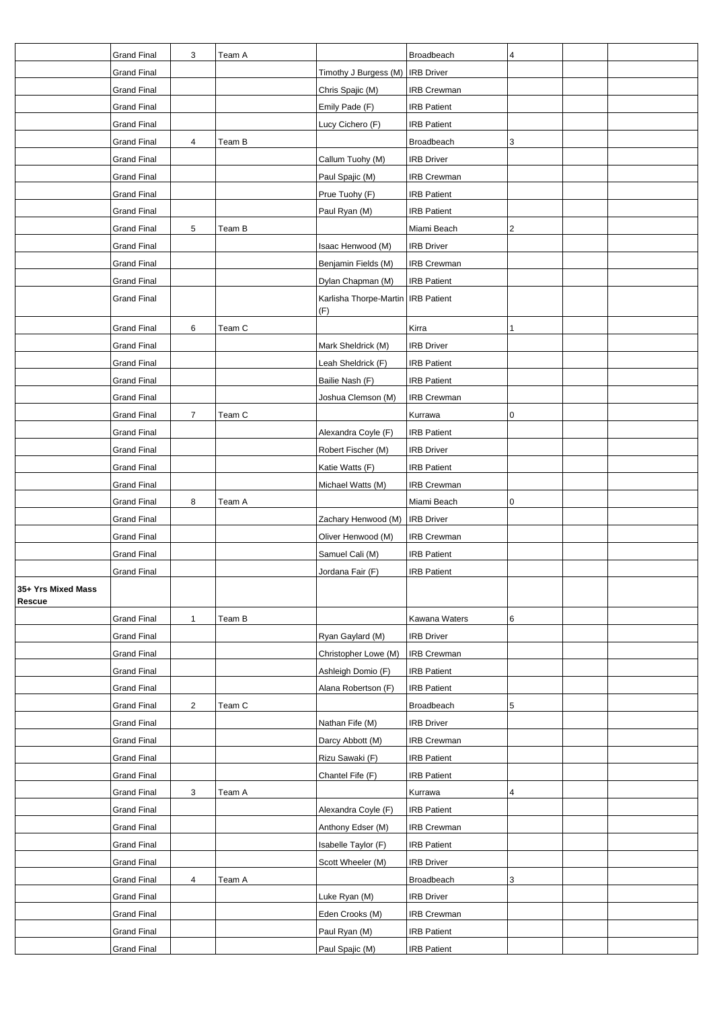|                              | <b>Grand Final</b> | 3              | Team A |                                      | Broadbeach         | 4 |  |
|------------------------------|--------------------|----------------|--------|--------------------------------------|--------------------|---|--|
|                              | <b>Grand Final</b> |                |        | Timothy J Burgess (M)   IRB Driver   |                    |   |  |
|                              | <b>Grand Final</b> |                |        | Chris Spajic (M)                     | <b>IRB Crewman</b> |   |  |
|                              | <b>Grand Final</b> |                |        | Emily Pade (F)                       | <b>IRB Patient</b> |   |  |
|                              | <b>Grand Final</b> |                |        | Lucy Cichero (F)                     | <b>IRB Patient</b> |   |  |
|                              | <b>Grand Final</b> | 4              | Team B |                                      | Broadbeach         | 3 |  |
|                              | <b>Grand Final</b> |                |        | Callum Tuohy (M)                     | <b>IRB Driver</b>  |   |  |
|                              | <b>Grand Final</b> |                |        | Paul Spajic (M)                      | <b>IRB Crewman</b> |   |  |
|                              | <b>Grand Final</b> |                |        | Prue Tuohy (F)                       | <b>IRB Patient</b> |   |  |
|                              | <b>Grand Final</b> |                |        | Paul Ryan (M)                        | <b>IRB Patient</b> |   |  |
|                              | <b>Grand Final</b> | 5              | Team B |                                      | Miami Beach        | 2 |  |
|                              | Grand Final        |                |        | Isaac Henwood (M)                    | <b>IRB Driver</b>  |   |  |
|                              | <b>Grand Final</b> |                |        | Benjamin Fields (M)                  | <b>IRB Crewman</b> |   |  |
|                              | <b>Grand Final</b> |                |        | Dylan Chapman (M)                    | <b>IRB Patient</b> |   |  |
|                              | <b>Grand Final</b> |                |        | Karlisha Thorpe-Martin   IRB Patient |                    |   |  |
|                              |                    |                |        | (F)                                  |                    |   |  |
|                              | <b>Grand Final</b> | 6              | Team C |                                      | Kirra              | 1 |  |
|                              | <b>Grand Final</b> |                |        | Mark Sheldrick (M)                   | <b>IRB Driver</b>  |   |  |
|                              | <b>Grand Final</b> |                |        | Leah Sheldrick (F)                   | <b>IRB Patient</b> |   |  |
|                              | <b>Grand Final</b> |                |        | Bailie Nash (F)                      | <b>IRB Patient</b> |   |  |
|                              | <b>Grand Final</b> |                |        | Joshua Clemson (M)                   | <b>IRB Crewman</b> |   |  |
|                              | <b>Grand Final</b> | $\overline{7}$ | Team C |                                      | Kurrawa            | 0 |  |
|                              | <b>Grand Final</b> |                |        | Alexandra Coyle (F)                  | <b>IRB Patient</b> |   |  |
|                              | <b>Grand Final</b> |                |        | Robert Fischer (M)                   | <b>IRB Driver</b>  |   |  |
|                              | <b>Grand Final</b> |                |        | Katie Watts (F)                      | <b>IRB Patient</b> |   |  |
|                              | <b>Grand Final</b> |                |        | Michael Watts (M)                    | <b>IRB Crewman</b> |   |  |
|                              | <b>Grand Final</b> | 8              | Team A |                                      | Miami Beach        | 0 |  |
|                              | <b>Grand Final</b> |                |        | Zachary Henwood (M)                  | <b>IRB Driver</b>  |   |  |
|                              | <b>Grand Final</b> |                |        | Oliver Henwood (M)                   | IRB Crewman        |   |  |
|                              | <b>Grand Final</b> |                |        | Samuel Cali (M)                      | <b>IRB Patient</b> |   |  |
|                              | <b>Grand Final</b> |                |        | Jordana Fair (F)                     | <b>IRB Patient</b> |   |  |
| 35+ Yrs Mixed Mass<br>Rescue |                    |                |        |                                      |                    |   |  |
|                              | <b>Grand Final</b> | $\mathbf{1}$   | Team B |                                      | Kawana Waters      | 6 |  |
|                              | <b>Grand Final</b> |                |        | Ryan Gaylard (M)                     | <b>IRB Driver</b>  |   |  |
|                              | <b>Grand Final</b> |                |        | Christopher Lowe (M)                 | IRB Crewman        |   |  |
|                              | <b>Grand Final</b> |                |        | Ashleigh Domio (F)                   | <b>IRB Patient</b> |   |  |
|                              | <b>Grand Final</b> |                |        | Alana Robertson (F)                  | <b>IRB Patient</b> |   |  |
|                              | <b>Grand Final</b> | $\overline{c}$ | Team C |                                      | Broadbeach         | 5 |  |
|                              | <b>Grand Final</b> |                |        | Nathan Fife (M)                      | <b>IRB Driver</b>  |   |  |
|                              | <b>Grand Final</b> |                |        | Darcy Abbott (M)                     | IRB Crewman        |   |  |
|                              | <b>Grand Final</b> |                |        | Rizu Sawaki (F)                      | <b>IRB Patient</b> |   |  |
|                              | <b>Grand Final</b> |                |        | Chantel Fife (F)                     | <b>IRB Patient</b> |   |  |
|                              | <b>Grand Final</b> | 3              | Team A |                                      | Kurrawa            | 4 |  |
|                              | <b>Grand Final</b> |                |        | Alexandra Coyle (F)                  | <b>IRB Patient</b> |   |  |
|                              | <b>Grand Final</b> |                |        | Anthony Edser (M)                    | <b>IRB Crewman</b> |   |  |
|                              | <b>Grand Final</b> |                |        | Isabelle Taylor (F)                  | <b>IRB Patient</b> |   |  |
|                              | Grand Final        |                |        | Scott Wheeler (M)                    | <b>IRB Driver</b>  |   |  |
|                              | <b>Grand Final</b> | 4              | Team A |                                      | Broadbeach         | 3 |  |
|                              | <b>Grand Final</b> |                |        | Luke Ryan (M)                        | <b>IRB Driver</b>  |   |  |
|                              | <b>Grand Final</b> |                |        | Eden Crooks (M)                      | <b>IRB Crewman</b> |   |  |
|                              | <b>Grand Final</b> |                |        | Paul Ryan (M)                        | <b>IRB Patient</b> |   |  |
|                              | Grand Final        |                |        | Paul Spajic (M)                      | <b>IRB Patient</b> |   |  |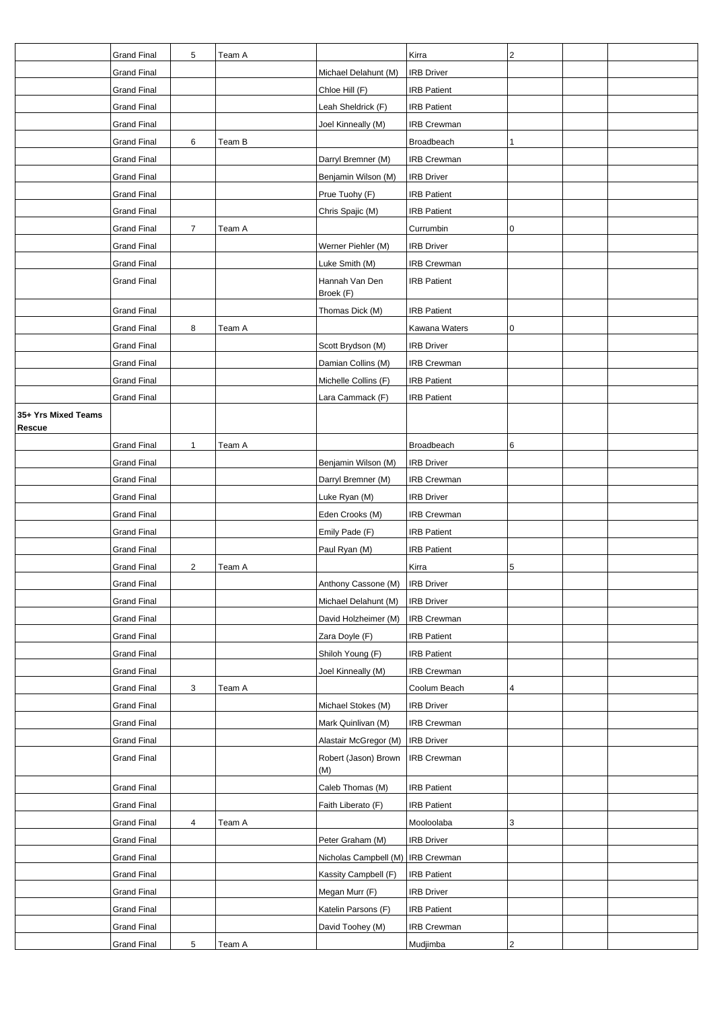|                               | <b>Grand Final</b> | 5              | Team A |                             | Kirra              | $\overline{2}$ |  |
|-------------------------------|--------------------|----------------|--------|-----------------------------|--------------------|----------------|--|
|                               | <b>Grand Final</b> |                |        | Michael Delahunt (M)        | <b>IRB Driver</b>  |                |  |
|                               | <b>Grand Final</b> |                |        | Chloe Hill (F)              | <b>IRB Patient</b> |                |  |
|                               | <b>Grand Final</b> |                |        | Leah Sheldrick (F)          | <b>IRB Patient</b> |                |  |
|                               | <b>Grand Final</b> |                |        | Joel Kinneally (M)          | <b>IRB Crewman</b> |                |  |
|                               | <b>Grand Final</b> | 6              | Team B |                             | Broadbeach         | $\mathbf{1}$   |  |
|                               | <b>Grand Final</b> |                |        | Darryl Bremner (M)          | <b>IRB Crewman</b> |                |  |
|                               | <b>Grand Final</b> |                |        | Benjamin Wilson (M)         | <b>IRB Driver</b>  |                |  |
|                               | <b>Grand Final</b> |                |        | Prue Tuohy (F)              | <b>IRB Patient</b> |                |  |
|                               | <b>Grand Final</b> |                |        | Chris Spajic (M)            | <b>IRB Patient</b> |                |  |
|                               | <b>Grand Final</b> | $\overline{7}$ | Team A |                             | Currumbin          | 0              |  |
|                               | <b>Grand Final</b> |                |        | Werner Piehler (M)          | <b>IRB Driver</b>  |                |  |
|                               | <b>Grand Final</b> |                |        | Luke Smith (M)              | <b>IRB Crewman</b> |                |  |
|                               | <b>Grand Final</b> |                |        | Hannah Van Den              | <b>IRB Patient</b> |                |  |
|                               |                    |                |        | Broek (F)                   |                    |                |  |
|                               | <b>Grand Final</b> |                |        | Thomas Dick (M)             | <b>IRB Patient</b> |                |  |
|                               | <b>Grand Final</b> | 8              | Team A |                             | Kawana Waters      | $\mathbf 0$    |  |
|                               | <b>Grand Final</b> |                |        | Scott Brydson (M)           | <b>IRB Driver</b>  |                |  |
|                               | <b>Grand Final</b> |                |        | Damian Collins (M)          | IRB Crewman        |                |  |
|                               | <b>Grand Final</b> |                |        | Michelle Collins (F)        | <b>IRB Patient</b> |                |  |
|                               | <b>Grand Final</b> |                |        | Lara Cammack (F)            | <b>IRB Patient</b> |                |  |
| 35+ Yrs Mixed Teams<br>Rescue |                    |                |        |                             |                    |                |  |
|                               | <b>Grand Final</b> | 1              | Team A |                             | Broadbeach         | 6              |  |
|                               | <b>Grand Final</b> |                |        | Benjamin Wilson (M)         | <b>IRB Driver</b>  |                |  |
|                               | <b>Grand Final</b> |                |        | Darryl Bremner (M)          | <b>IRB Crewman</b> |                |  |
|                               | <b>Grand Final</b> |                |        | Luke Ryan (M)               | <b>IRB Driver</b>  |                |  |
|                               | <b>Grand Final</b> |                |        | Eden Crooks (M)             | <b>IRB Crewman</b> |                |  |
|                               | <b>Grand Final</b> |                |        | Emily Pade (F)              | <b>IRB Patient</b> |                |  |
|                               | <b>Grand Final</b> |                |        | Paul Ryan (M)               | <b>IRB Patient</b> |                |  |
|                               | <b>Grand Final</b> | $\overline{2}$ | Team A |                             | Kirra              | 5              |  |
|                               | Grand Final        |                |        | Anthony Cassone (M)         | IRB Driver         |                |  |
|                               | <b>Grand Final</b> |                |        | Michael Delahunt (M)        | <b>IRB Driver</b>  |                |  |
|                               | <b>Grand Final</b> |                |        | David Holzheimer (M)        | <b>IRB Crewman</b> |                |  |
|                               | <b>Grand Final</b> |                |        | Zara Doyle (F)              | <b>IRB Patient</b> |                |  |
|                               | <b>Grand Final</b> |                |        | Shiloh Young (F)            | <b>IRB Patient</b> |                |  |
|                               | <b>Grand Final</b> |                |        | Joel Kinneally (M)          | <b>IRB Crewman</b> |                |  |
|                               | <b>Grand Final</b> | 3              | Team A |                             | Coolum Beach       | 4              |  |
|                               | <b>Grand Final</b> |                |        | Michael Stokes (M)          | <b>IRB Driver</b>  |                |  |
|                               | <b>Grand Final</b> |                |        | Mark Quinlivan (M)          | <b>IRB Crewman</b> |                |  |
|                               | <b>Grand Final</b> |                |        | Alastair McGregor (M)       | <b>IRB Driver</b>  |                |  |
|                               | <b>Grand Final</b> |                |        | Robert (Jason) Brown<br>(M) | <b>IRB Crewman</b> |                |  |
|                               | <b>Grand Final</b> |                |        | Caleb Thomas (M)            | <b>IRB Patient</b> |                |  |
|                               | <b>Grand Final</b> |                |        | Faith Liberato (F)          | <b>IRB Patient</b> |                |  |
|                               | <b>Grand Final</b> | 4              | Team A |                             | Mooloolaba         | 3              |  |
|                               | <b>Grand Final</b> |                |        | Peter Graham (M)            | <b>IRB Driver</b>  |                |  |
|                               | <b>Grand Final</b> |                |        | Nicholas Campbell (M)       | <b>IRB Crewman</b> |                |  |
|                               | <b>Grand Final</b> |                |        | Kassity Campbell (F)        | <b>IRB Patient</b> |                |  |
|                               | <b>Grand Final</b> |                |        | Megan Murr (F)              | <b>IRB Driver</b>  |                |  |
|                               | <b>Grand Final</b> |                |        | Katelin Parsons (F)         | <b>IRB Patient</b> |                |  |
|                               | <b>Grand Final</b> |                |        | David Toohey (M)            | <b>IRB Crewman</b> |                |  |
|                               | <b>Grand Final</b> | $\sqrt{5}$     | Team A |                             | Mudjimba           | $\overline{2}$ |  |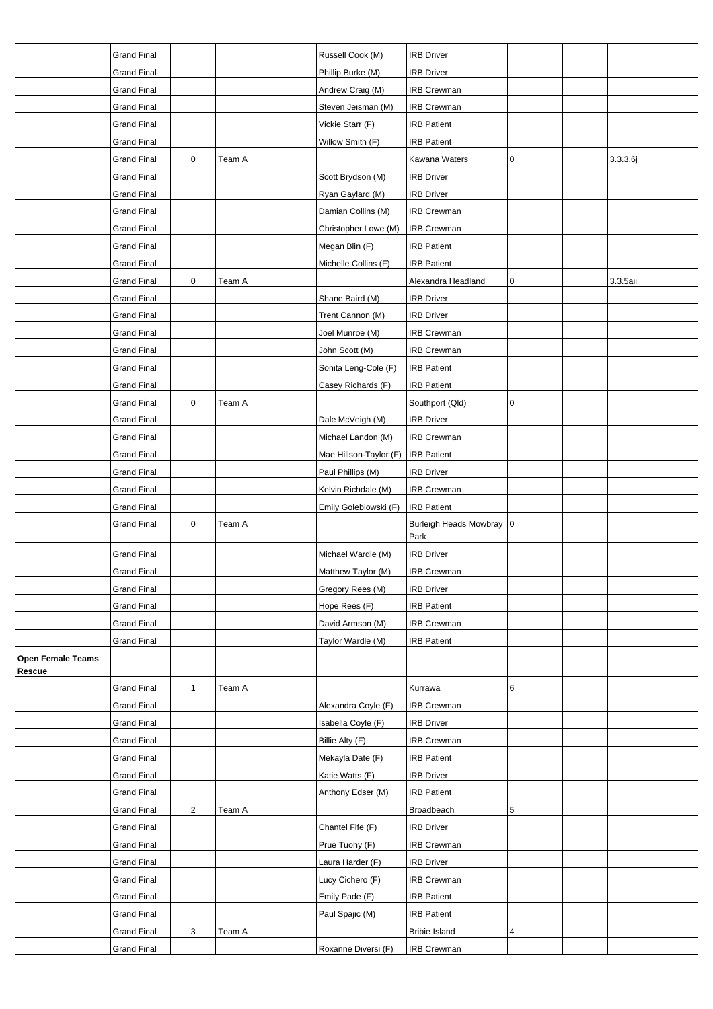|                          | <b>Grand Final</b> |                |        | Russell Cook (M)       | <b>IRB Driver</b>          |   |          |
|--------------------------|--------------------|----------------|--------|------------------------|----------------------------|---|----------|
|                          | <b>Grand Final</b> |                |        | Phillip Burke (M)      | <b>IRB Driver</b>          |   |          |
|                          | <b>Grand Final</b> |                |        | Andrew Craig (M)       | <b>IRB Crewman</b>         |   |          |
|                          | <b>Grand Final</b> |                |        | Steven Jeisman (M)     | <b>IRB Crewman</b>         |   |          |
|                          | <b>Grand Final</b> |                |        | Vickie Starr (F)       | <b>IRB Patient</b>         |   |          |
|                          | <b>Grand Final</b> |                |        | Willow Smith (F)       | <b>IRB Patient</b>         |   |          |
|                          | <b>Grand Final</b> | 0              | Team A |                        | Kawana Waters              | 0 | 3.3.3.6j |
|                          | <b>Grand Final</b> |                |        | Scott Brydson (M)      | <b>IRB Driver</b>          |   |          |
|                          | <b>Grand Final</b> |                |        | Ryan Gaylard (M)       | <b>IRB Driver</b>          |   |          |
|                          | <b>Grand Final</b> |                |        | Damian Collins (M)     | <b>IRB Crewman</b>         |   |          |
|                          | <b>Grand Final</b> |                |        | Christopher Lowe (M)   | IRB Crewman                |   |          |
|                          | <b>Grand Final</b> |                |        | Megan Blin (F)         | <b>IRB Patient</b>         |   |          |
|                          | <b>Grand Final</b> |                |        | Michelle Collins (F)   | <b>IRB Patient</b>         |   |          |
|                          | <b>Grand Final</b> | 0              | Team A |                        | Alexandra Headland         | 0 | 3.3.5aii |
|                          | <b>Grand Final</b> |                |        | Shane Baird (M)        | <b>IRB Driver</b>          |   |          |
|                          | <b>Grand Final</b> |                |        | Trent Cannon (M)       | <b>IRB Driver</b>          |   |          |
|                          | <b>Grand Final</b> |                |        | Joel Munroe (M)        | <b>IRB Crewman</b>         |   |          |
|                          | <b>Grand Final</b> |                |        | John Scott (M)         | <b>IRB</b> Crewman         |   |          |
|                          | <b>Grand Final</b> |                |        | Sonita Leng-Cole (F)   | <b>IRB Patient</b>         |   |          |
|                          | <b>Grand Final</b> |                |        | Casey Richards (F)     | <b>IRB Patient</b>         |   |          |
|                          | <b>Grand Final</b> | 0              | Team A |                        | Southport (Qld)            | 0 |          |
|                          | <b>Grand Final</b> |                |        | Dale McVeigh (M)       | <b>IRB Driver</b>          |   |          |
|                          | <b>Grand Final</b> |                |        | Michael Landon (M)     | <b>IRB Crewman</b>         |   |          |
|                          | <b>Grand Final</b> |                |        | Mae Hillson-Taylor (F) | <b>IRB Patient</b>         |   |          |
|                          | <b>Grand Final</b> |                |        | Paul Phillips (M)      | <b>IRB Driver</b>          |   |          |
|                          | <b>Grand Final</b> |                |        | Kelvin Richdale (M)    | <b>IRB Crewman</b>         |   |          |
|                          | <b>Grand Final</b> |                |        | Emily Golebiowski (F)  | <b>IRB Patient</b>         |   |          |
|                          | <b>Grand Final</b> | $\pmb{0}$      | Team A |                        | Burleigh Heads Mowbray   0 |   |          |
|                          |                    |                |        |                        | Park                       |   |          |
|                          | <b>Grand Final</b> |                |        | Michael Wardle (M)     | <b>IRB Driver</b>          |   |          |
|                          | <b>Grand Final</b> |                |        | Matthew Taylor (M)     | <b>IRB Crewman</b>         |   |          |
|                          | <b>Grand Final</b> |                |        | Gregory Rees (M)       | <b>IRB Driver</b>          |   |          |
|                          | <b>Grand Final</b> |                |        | Hope Rees (F)          | <b>IRB Patient</b>         |   |          |
|                          | <b>Grand Final</b> |                |        | David Armson (M)       | <b>IRB Crewman</b>         |   |          |
|                          | <b>Grand Final</b> |                |        | Taylor Wardle (M)      | <b>IRB Patient</b>         |   |          |
| <b>Open Female Teams</b> |                    |                |        |                        |                            |   |          |
| <b>Rescue</b>            |                    |                |        |                        |                            |   |          |
|                          | <b>Grand Final</b> | $\mathbf{1}$   | Team A |                        | Kurrawa                    | 6 |          |
|                          | <b>Grand Final</b> |                |        | Alexandra Coyle (F)    | <b>IRB Crewman</b>         |   |          |
|                          | <b>Grand Final</b> |                |        | Isabella Coyle (F)     | <b>IRB Driver</b>          |   |          |
|                          | <b>Grand Final</b> |                |        | Billie Alty (F)        | <b>IRB Crewman</b>         |   |          |
|                          | <b>Grand Final</b> |                |        | Mekayla Date (F)       | <b>IRB Patient</b>         |   |          |
|                          | <b>Grand Final</b> |                |        | Katie Watts (F)        | <b>IRB Driver</b>          |   |          |
|                          | <b>Grand Final</b> |                |        | Anthony Edser (M)      | <b>IRB Patient</b>         |   |          |
|                          | <b>Grand Final</b> | $\overline{c}$ | Team A |                        | Broadbeach                 | 5 |          |
|                          | Grand Final        |                |        | Chantel Fife (F)       | <b>IRB Driver</b>          |   |          |
|                          | <b>Grand Final</b> |                |        | Prue Tuohy (F)         | <b>IRB Crewman</b>         |   |          |
|                          | <b>Grand Final</b> |                |        | Laura Harder (F)       | <b>IRB Driver</b>          |   |          |
|                          | <b>Grand Final</b> |                |        | Lucy Cichero (F)       | <b>IRB Crewman</b>         |   |          |
|                          | <b>Grand Final</b> |                |        | Emily Pade (F)         | <b>IRB Patient</b>         |   |          |
|                          | <b>Grand Final</b> |                |        | Paul Spajic (M)        | <b>IRB Patient</b>         |   |          |
|                          | <b>Grand Final</b> | 3              | Team A |                        | <b>Bribie Island</b>       | 4 |          |
|                          | <b>Grand Final</b> |                |        | Roxanne Diversi (F)    | <b>IRB Crewman</b>         |   |          |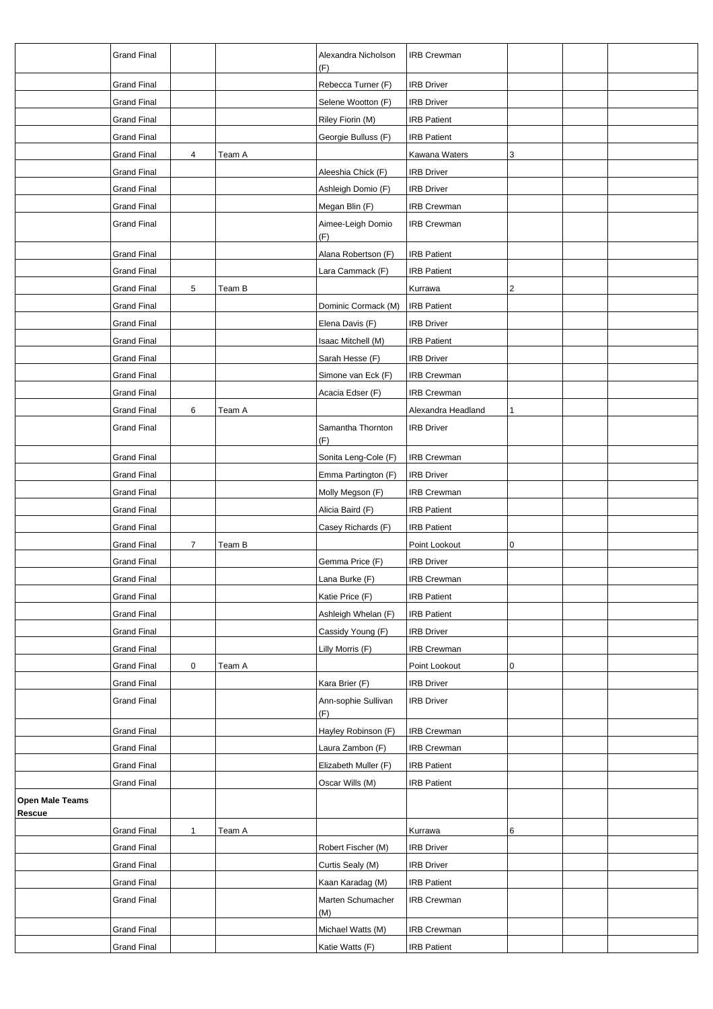|                 | <b>Grand Final</b>                |                |        | Alexandra Nicholson<br>(F)               | <b>IRB Crewman</b> |   |  |
|-----------------|-----------------------------------|----------------|--------|------------------------------------------|--------------------|---|--|
|                 | <b>Grand Final</b>                |                |        | Rebecca Turner (F)                       | <b>IRB Driver</b>  |   |  |
|                 | <b>Grand Final</b>                |                |        | Selene Wootton (F)                       | <b>IRB Driver</b>  |   |  |
|                 | <b>Grand Final</b>                |                |        | Riley Fiorin (M)                         | <b>IRB Patient</b> |   |  |
|                 | <b>Grand Final</b>                |                |        | Georgie Bulluss (F)                      | <b>IRB Patient</b> |   |  |
|                 | <b>Grand Final</b>                |                | Team A |                                          | Kawana Waters      |   |  |
|                 |                                   | 4              |        |                                          | <b>IRB Driver</b>  | 3 |  |
|                 | Grand Final<br><b>Grand Final</b> |                |        | Aleeshia Chick (F)<br>Ashleigh Domio (F) | <b>IRB Driver</b>  |   |  |
|                 | <b>Grand Final</b>                |                |        | Megan Blin (F)                           | <b>IRB Crewman</b> |   |  |
|                 | <b>Grand Final</b>                |                |        | Aimee-Leigh Domio                        | <b>IRB Crewman</b> |   |  |
|                 |                                   |                |        | (F)                                      |                    |   |  |
|                 | <b>Grand Final</b>                |                |        | Alana Robertson (F)                      | <b>IRB Patient</b> |   |  |
|                 | <b>Grand Final</b>                |                |        | Lara Cammack (F)                         | <b>IRB Patient</b> |   |  |
|                 | <b>Grand Final</b>                | 5              | Team B |                                          | Kurrawa            | 2 |  |
|                 | <b>Grand Final</b>                |                |        | Dominic Cormack (M)                      | <b>IRB Patient</b> |   |  |
|                 | <b>Grand Final</b>                |                |        | Elena Davis (F)                          | <b>IRB Driver</b>  |   |  |
|                 | <b>Grand Final</b>                |                |        | Isaac Mitchell (M)                       | <b>IRB Patient</b> |   |  |
|                 | <b>Grand Final</b>                |                |        | Sarah Hesse (F)                          | <b>IRB Driver</b>  |   |  |
|                 | <b>Grand Final</b>                |                |        | Simone van Eck (F)                       | <b>IRB Crewman</b> |   |  |
|                 | <b>Grand Final</b>                |                |        | Acacia Edser (F)                         | <b>IRB Crewman</b> |   |  |
|                 | <b>Grand Final</b>                | 6              | Team A |                                          | Alexandra Headland | 1 |  |
|                 | <b>Grand Final</b>                |                |        | Samantha Thornton<br>(F)                 | <b>IRB Driver</b>  |   |  |
|                 | <b>Grand Final</b>                |                |        | Sonita Leng-Cole (F)                     | <b>IRB Crewman</b> |   |  |
|                 | <b>Grand Final</b>                |                |        | Emma Partington (F)                      | <b>IRB Driver</b>  |   |  |
|                 | <b>Grand Final</b>                |                |        | Molly Megson (F)                         | <b>IRB Crewman</b> |   |  |
|                 | <b>Grand Final</b>                |                |        | Alicia Baird (F)                         | <b>IRB Patient</b> |   |  |
|                 | <b>Grand Final</b>                |                |        | Casey Richards (F)                       | <b>IRB Patient</b> |   |  |
|                 | <b>Grand Final</b>                | $\overline{7}$ | Team B |                                          | Point Lookout      | 0 |  |
|                 | Grand Final                       |                |        | Gemma Price (F)                          | <b>IRB Driver</b>  |   |  |
|                 | <b>Grand Final</b>                |                |        | Lana Burke (F)                           | <b>IRB Crewman</b> |   |  |
|                 | <b>Grand Final</b>                |                |        | Katie Price (F)                          | <b>IRB Patient</b> |   |  |
|                 | <b>Grand Final</b>                |                |        | Ashleigh Whelan (F)                      | <b>IRB Patient</b> |   |  |
|                 | <b>Grand Final</b>                |                |        | Cassidy Young (F)                        | <b>IRB Driver</b>  |   |  |
|                 | <b>Grand Final</b>                |                |        | Lilly Morris (F)                         | <b>IRB Crewman</b> |   |  |
|                 | <b>Grand Final</b>                | $\pmb{0}$      | Team A |                                          | Point Lookout      | 0 |  |
|                 | <b>Grand Final</b>                |                |        | Kara Brier (F)                           | <b>IRB Driver</b>  |   |  |
|                 | <b>Grand Final</b>                |                |        | Ann-sophie Sullivan<br>(F)               | <b>IRB Driver</b>  |   |  |
|                 | <b>Grand Final</b>                |                |        | Hayley Robinson (F)                      | <b>IRB Crewman</b> |   |  |
|                 | <b>Grand Final</b>                |                |        | Laura Zambon (F)                         | <b>IRB Crewman</b> |   |  |
|                 | <b>Grand Final</b>                |                |        | Elizabeth Muller (F)                     | <b>IRB Patient</b> |   |  |
|                 |                                   |                |        |                                          |                    |   |  |
| Open Male Teams | <b>Grand Final</b>                |                |        | Oscar Wills (M)                          | <b>IRB Patient</b> |   |  |
| Rescue          |                                   |                |        |                                          |                    |   |  |
|                 | <b>Grand Final</b>                | $\mathbf{1}$   | Team A |                                          | Kurrawa            | 6 |  |
|                 | Grand Final                       |                |        | Robert Fischer (M)                       | <b>IRB Driver</b>  |   |  |
|                 | <b>Grand Final</b>                |                |        | Curtis Sealy (M)                         | <b>IRB Driver</b>  |   |  |
|                 | <b>Grand Final</b>                |                |        | Kaan Karadag (M)                         | <b>IRB Patient</b> |   |  |
|                 | <b>Grand Final</b>                |                |        | Marten Schumacher<br>(M)                 | <b>IRB Crewman</b> |   |  |
|                 | <b>Grand Final</b>                |                |        | Michael Watts (M)                        | <b>IRB Crewman</b> |   |  |
|                 | <b>Grand Final</b>                |                |        | Katie Watts (F)                          | <b>IRB Patient</b> |   |  |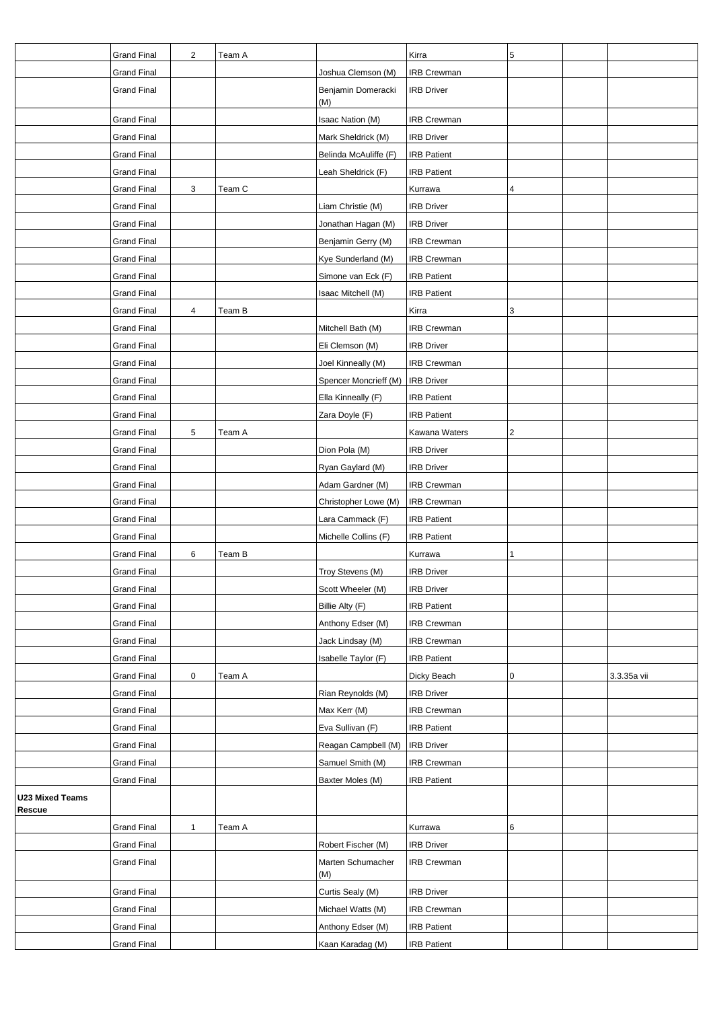|                                  | <b>Grand Final</b> | $\overline{c}$ | Team A |                           | Kirra              | 5 |             |
|----------------------------------|--------------------|----------------|--------|---------------------------|--------------------|---|-------------|
|                                  | <b>Grand Final</b> |                |        | Joshua Clemson (M)        | <b>IRB Crewman</b> |   |             |
|                                  | <b>Grand Final</b> |                |        | Benjamin Domeracki<br>(M) | <b>IRB Driver</b>  |   |             |
|                                  | <b>Grand Final</b> |                |        | Isaac Nation (M)          | <b>IRB Crewman</b> |   |             |
|                                  | <b>Grand Final</b> |                |        | Mark Sheldrick (M)        | <b>IRB Driver</b>  |   |             |
|                                  | <b>Grand Final</b> |                |        | Belinda McAuliffe (F)     | <b>IRB Patient</b> |   |             |
|                                  | <b>Grand Final</b> |                |        | Leah Sheldrick (F)        | <b>IRB Patient</b> |   |             |
|                                  | <b>Grand Final</b> | 3              | Team C |                           | Kurrawa            | 4 |             |
|                                  | <b>Grand Final</b> |                |        | Liam Christie (M)         | <b>IRB Driver</b>  |   |             |
|                                  | <b>Grand Final</b> |                |        | Jonathan Hagan (M)        | <b>IRB Driver</b>  |   |             |
|                                  | <b>Grand Final</b> |                |        | Benjamin Gerry (M)        | <b>IRB Crewman</b> |   |             |
|                                  | <b>Grand Final</b> |                |        | Kye Sunderland (M)        | <b>IRB Crewman</b> |   |             |
|                                  | <b>Grand Final</b> |                |        | Simone van Eck (F)        | <b>IRB Patient</b> |   |             |
|                                  | <b>Grand Final</b> |                |        | Isaac Mitchell (M)        | <b>IRB Patient</b> |   |             |
|                                  | <b>Grand Final</b> | 4              | Team B |                           | Kirra              | 3 |             |
|                                  | <b>Grand Final</b> |                |        | Mitchell Bath (M)         | <b>IRB</b> Crewman |   |             |
|                                  | <b>Grand Final</b> |                |        | Eli Clemson (M)           | <b>IRB Driver</b>  |   |             |
|                                  | <b>Grand Final</b> |                |        | Joel Kinneally (M)        | <b>IRB Crewman</b> |   |             |
|                                  | <b>Grand Final</b> |                |        | Spencer Moncrieff (M)     | <b>IRB Driver</b>  |   |             |
|                                  | <b>Grand Final</b> |                |        | Ella Kinneally (F)        | <b>IRB Patient</b> |   |             |
|                                  | <b>Grand Final</b> |                |        | Zara Doyle (F)            | <b>IRB Patient</b> |   |             |
|                                  | <b>Grand Final</b> | 5              | Team A |                           | Kawana Waters      | 2 |             |
|                                  | <b>Grand Final</b> |                |        | Dion Pola (M)             | <b>IRB Driver</b>  |   |             |
|                                  | <b>Grand Final</b> |                |        | Ryan Gaylard (M)          | <b>IRB Driver</b>  |   |             |
|                                  | <b>Grand Final</b> |                |        | Adam Gardner (M)          | <b>IRB Crewman</b> |   |             |
|                                  | <b>Grand Final</b> |                |        | Christopher Lowe (M)      | <b>IRB Crewman</b> |   |             |
|                                  | <b>Grand Final</b> |                |        | Lara Cammack (F)          | <b>IRB Patient</b> |   |             |
|                                  | <b>Grand Final</b> |                |        | Michelle Collins (F)      | <b>IRB Patient</b> |   |             |
|                                  | <b>Grand Final</b> | 6              | Team B |                           | Kurrawa            |   |             |
|                                  | <b>Grand Final</b> |                |        | Troy Stevens (M)          | <b>IRB Driver</b>  |   |             |
|                                  | <b>Grand Final</b> |                |        | Scott Wheeler (M)         | <b>IRB Driver</b>  |   |             |
|                                  | <b>Grand Final</b> |                |        | Billie Alty (F)           | <b>IRB Patient</b> |   |             |
|                                  | <b>Grand Final</b> |                |        | Anthony Edser (M)         | <b>IRB Crewman</b> |   |             |
|                                  | <b>Grand Final</b> |                |        | Jack Lindsay (M)          | <b>IRB Crewman</b> |   |             |
|                                  | <b>Grand Final</b> |                |        | Isabelle Taylor (F)       | <b>IRB Patient</b> |   |             |
|                                  | <b>Grand Final</b> | 0              | Team A |                           | Dicky Beach        | 0 | 3.3.35a vii |
|                                  | <b>Grand Final</b> |                |        | Rian Reynolds (M)         | <b>IRB Driver</b>  |   |             |
|                                  | <b>Grand Final</b> |                |        | Max Kerr (M)              | <b>IRB Crewman</b> |   |             |
|                                  | <b>Grand Final</b> |                |        | Eva Sullivan (F)          | <b>IRB Patient</b> |   |             |
|                                  | <b>Grand Final</b> |                |        | Reagan Campbell (M)       | <b>IRB Driver</b>  |   |             |
|                                  | <b>Grand Final</b> |                |        | Samuel Smith (M)          | <b>IRB Crewman</b> |   |             |
|                                  | <b>Grand Final</b> |                |        | Baxter Moles (M)          | <b>IRB Patient</b> |   |             |
| <b>U23 Mixed Teams</b><br>Rescue |                    |                |        |                           |                    |   |             |
|                                  | <b>Grand Final</b> | 1              | Team A |                           | Kurrawa            | 6 |             |
|                                  | <b>Grand Final</b> |                |        | Robert Fischer (M)        | <b>IRB Driver</b>  |   |             |
|                                  | <b>Grand Final</b> |                |        | Marten Schumacher<br>(M)  | <b>IRB Crewman</b> |   |             |
|                                  | <b>Grand Final</b> |                |        | Curtis Sealy (M)          | <b>IRB Driver</b>  |   |             |
|                                  | <b>Grand Final</b> |                |        | Michael Watts (M)         | <b>IRB Crewman</b> |   |             |
|                                  | <b>Grand Final</b> |                |        | Anthony Edser (M)         | <b>IRB Patient</b> |   |             |
|                                  | <b>Grand Final</b> |                |        | Kaan Karadag (M)          | <b>IRB Patient</b> |   |             |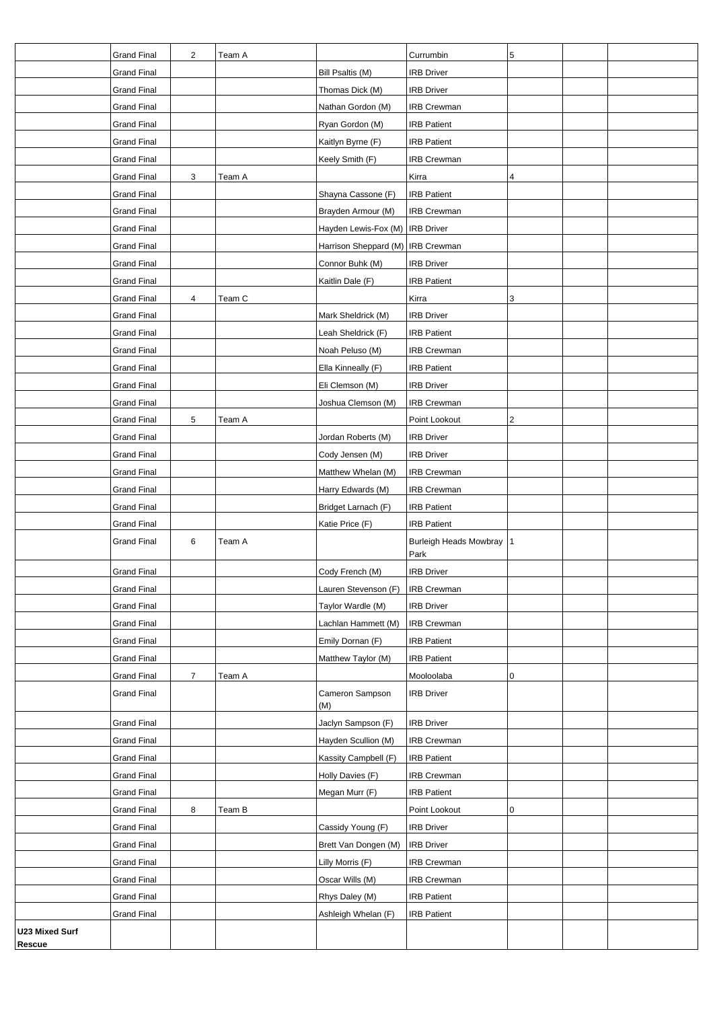|                       | <b>Grand Final</b> | 2              | Team A |                                   | Currumbin                  | 5 |  |
|-----------------------|--------------------|----------------|--------|-----------------------------------|----------------------------|---|--|
|                       | <b>Grand Final</b> |                |        | Bill Psaltis (M)                  | <b>IRB Driver</b>          |   |  |
|                       | <b>Grand Final</b> |                |        | Thomas Dick (M)                   | <b>IRB Driver</b>          |   |  |
|                       | <b>Grand Final</b> |                |        | Nathan Gordon (M)                 | <b>IRB Crewman</b>         |   |  |
|                       | <b>Grand Final</b> |                |        | Ryan Gordon (M)                   | <b>IRB Patient</b>         |   |  |
|                       | <b>Grand Final</b> |                |        | Kaitlyn Byrne (F)                 | <b>IRB Patient</b>         |   |  |
|                       | <b>Grand Final</b> |                |        | Keely Smith (F)                   | IRB Crewman                |   |  |
|                       | <b>Grand Final</b> | 3              | Team A |                                   | Kirra                      | 4 |  |
|                       | <b>Grand Final</b> |                |        | Shayna Cassone (F)                | <b>IRB Patient</b>         |   |  |
|                       | <b>Grand Final</b> |                |        | Brayden Armour (M)                | <b>IRB Crewman</b>         |   |  |
|                       | <b>Grand Final</b> |                |        | Hayden Lewis-Fox (M)              | <b>IRB</b> Driver          |   |  |
|                       | <b>Grand Final</b> |                |        | Harrison Sheppard (M) IRB Crewman |                            |   |  |
|                       | <b>Grand Final</b> |                |        | Connor Buhk (M)                   | <b>IRB Driver</b>          |   |  |
|                       | <b>Grand Final</b> |                |        | Kaitlin Dale (F)                  | <b>IRB Patient</b>         |   |  |
|                       | <b>Grand Final</b> | 4              | Team C |                                   | Kirra                      | 3 |  |
|                       | <b>Grand Final</b> |                |        | Mark Sheldrick (M)                | <b>IRB Driver</b>          |   |  |
|                       | <b>Grand Final</b> |                |        | Leah Sheldrick (F)                | <b>IRB Patient</b>         |   |  |
|                       | <b>Grand Final</b> |                |        | Noah Peluso (M)                   | <b>IRB Crewman</b>         |   |  |
|                       | <b>Grand Final</b> |                |        | Ella Kinneally (F)                | <b>IRB Patient</b>         |   |  |
|                       | <b>Grand Final</b> |                |        | Eli Clemson (M)                   | <b>IRB Driver</b>          |   |  |
|                       | <b>Grand Final</b> |                |        | Joshua Clemson (M)                | <b>IRB Crewman</b>         |   |  |
|                       | <b>Grand Final</b> | 5              | Team A |                                   | Point Lookout              | 2 |  |
|                       | <b>Grand Final</b> |                |        | Jordan Roberts (M)                | <b>IRB Driver</b>          |   |  |
|                       | <b>Grand Final</b> |                |        | Cody Jensen (M)                   | <b>IRB Driver</b>          |   |  |
|                       | <b>Grand Final</b> |                |        | Matthew Whelan (M)                | <b>IRB Crewman</b>         |   |  |
|                       | <b>Grand Final</b> |                |        | Harry Edwards (M)                 | <b>IRB Crewman</b>         |   |  |
|                       | <b>Grand Final</b> |                |        | Bridget Larnach (F)               | <b>IRB Patient</b>         |   |  |
|                       | <b>Grand Final</b> |                |        | Katie Price (F)                   | <b>IRB Patient</b>         |   |  |
|                       | <b>Grand Final</b> | 6              | Team A |                                   | Burleigh Heads Mowbray   1 |   |  |
|                       |                    |                |        |                                   | Park                       |   |  |
|                       | <b>Grand Final</b> |                |        | Cody French (M)                   | <b>IRB Driver</b>          |   |  |
|                       | <b>Grand Final</b> |                |        | Lauren Stevenson (F)              | <b>IRB Crewman</b>         |   |  |
|                       | <b>Grand Final</b> |                |        | Taylor Wardle (M)                 | <b>IRB Driver</b>          |   |  |
|                       | <b>Grand Final</b> |                |        | Lachlan Hammett (M)               | <b>IRB Crewman</b>         |   |  |
|                       | <b>Grand Final</b> |                |        | Emily Dornan (F)                  | <b>IRB Patient</b>         |   |  |
|                       | <b>Grand Final</b> |                |        | Matthew Taylor (M)                | <b>IRB Patient</b>         |   |  |
|                       | <b>Grand Final</b> | $\overline{7}$ | Team A |                                   | Mooloolaba                 | 0 |  |
|                       | <b>Grand Final</b> |                |        | Cameron Sampson<br>(M)            | <b>IRB Driver</b>          |   |  |
|                       | <b>Grand Final</b> |                |        | Jaclyn Sampson (F)                | <b>IRB</b> Driver          |   |  |
|                       | <b>Grand Final</b> |                |        | Hayden Scullion (M)               | <b>IRB Crewman</b>         |   |  |
|                       | <b>Grand Final</b> |                |        | Kassity Campbell (F)              | <b>IRB Patient</b>         |   |  |
|                       | <b>Grand Final</b> |                |        | Holly Davies (F)                  | <b>IRB Crewman</b>         |   |  |
|                       | <b>Grand Final</b> |                |        | Megan Murr (F)                    | <b>IRB Patient</b>         |   |  |
|                       | <b>Grand Final</b> | 8              | Team B |                                   | Point Lookout              | 0 |  |
|                       | Grand Final        |                |        | Cassidy Young (F)                 | <b>IRB Driver</b>          |   |  |
|                       | <b>Grand Final</b> |                |        | Brett Van Dongen (M)              | <b>IRB Driver</b>          |   |  |
|                       | <b>Grand Final</b> |                |        | Lilly Morris (F)                  | <b>IRB Crewman</b>         |   |  |
|                       | <b>Grand Final</b> |                |        | Oscar Wills (M)                   | <b>IRB Crewman</b>         |   |  |
|                       |                    |                |        | Rhys Daley (M)                    | <b>IRB Patient</b>         |   |  |
|                       | <b>Grand Final</b> |                |        |                                   |                            |   |  |
|                       | <b>Grand Final</b> |                |        | Ashleigh Whelan (F)               | <b>IRB Patient</b>         |   |  |
| <b>U23 Mixed Surf</b> |                    |                |        |                                   |                            |   |  |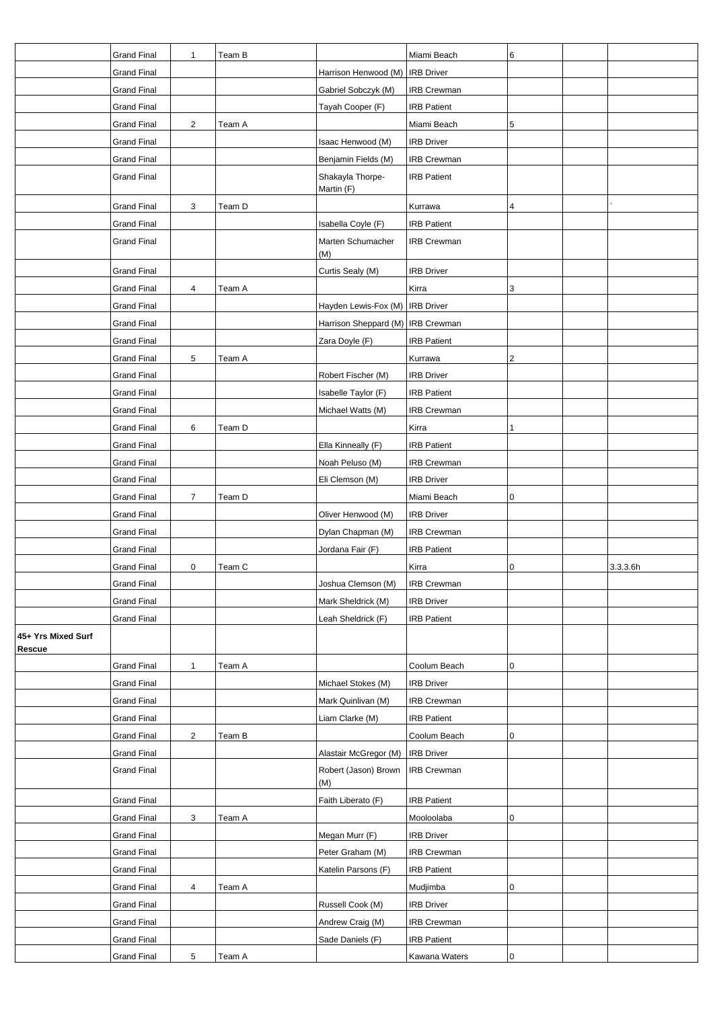|                              | <b>Grand Final</b> | $\mathbf{1}$            | Team B |                                     | Miami Beach        | 6         |          |
|------------------------------|--------------------|-------------------------|--------|-------------------------------------|--------------------|-----------|----------|
|                              | <b>Grand Final</b> |                         |        | Harrison Henwood (M) IRB Driver     |                    |           |          |
|                              | <b>Grand Final</b> |                         |        | Gabriel Sobczyk (M)                 | <b>IRB Crewman</b> |           |          |
|                              | <b>Grand Final</b> |                         |        | Tayah Cooper (F)                    | <b>IRB Patient</b> |           |          |
|                              | <b>Grand Final</b> | $\overline{2}$          | Team A |                                     | Miami Beach        | 5         |          |
|                              | <b>Grand Final</b> |                         |        | Isaac Henwood (M)                   | <b>IRB Driver</b>  |           |          |
|                              | <b>Grand Final</b> |                         |        | Benjamin Fields (M)                 | <b>IRB Crewman</b> |           |          |
|                              | <b>Grand Final</b> |                         |        | Shakayla Thorpe-<br>Martin (F)      | <b>IRB Patient</b> |           |          |
|                              | <b>Grand Final</b> | 3                       | Team D |                                     | Kurrawa            | 4         |          |
|                              | <b>Grand Final</b> |                         |        | Isabella Coyle (F)                  | <b>IRB Patient</b> |           |          |
|                              | <b>Grand Final</b> |                         |        | Marten Schumacher<br>(M)            | <b>IRB Crewman</b> |           |          |
|                              | <b>Grand Final</b> |                         |        | Curtis Sealy (M)                    | <b>IRB Driver</b>  |           |          |
|                              | <b>Grand Final</b> | 4                       | Team A |                                     | Kirra              | 3         |          |
|                              | <b>Grand Final</b> |                         |        | Hayden Lewis-Fox (M)   IRB Driver   |                    |           |          |
|                              | <b>Grand Final</b> |                         |        | Harrison Sheppard (M)   IRB Crewman |                    |           |          |
|                              | <b>Grand Final</b> |                         |        | Zara Doyle (F)                      | <b>IRB Patient</b> |           |          |
|                              | <b>Grand Final</b> | 5                       | Team A |                                     | Kurrawa            | 2         |          |
|                              | Grand Final        |                         |        | Robert Fischer (M)                  | <b>IRB Driver</b>  |           |          |
|                              | <b>Grand Final</b> |                         |        | Isabelle Taylor (F)                 | <b>IRB Patient</b> |           |          |
|                              | <b>Grand Final</b> |                         |        | Michael Watts (M)                   | <b>IRB Crewman</b> |           |          |
|                              | <b>Grand Final</b> | 6                       | Team D |                                     | Kirra              | 1         |          |
|                              | <b>Grand Final</b> |                         |        | Ella Kinneally (F)                  | <b>IRB Patient</b> |           |          |
|                              | <b>Grand Final</b> |                         |        | Noah Peluso (M)                     | <b>IRB Crewman</b> |           |          |
|                              | <b>Grand Final</b> |                         |        | Eli Clemson (M)                     | <b>IRB Driver</b>  |           |          |
|                              | <b>Grand Final</b> | $\overline{7}$          | Team D |                                     | Miami Beach        | 0         |          |
|                              | <b>Grand Final</b> |                         |        | Oliver Henwood (M)                  | <b>IRB Driver</b>  |           |          |
|                              | <b>Grand Final</b> |                         |        | Dylan Chapman (M)                   | <b>IRB Crewman</b> |           |          |
|                              | <b>Grand Final</b> |                         |        | Jordana Fair (F)                    | <b>IRB</b> Patient |           |          |
|                              | <b>Grand Final</b> | 0                       | Team C |                                     | Kirra              | 0         | 3.3.3.6h |
|                              | Grand Final        |                         |        | Joshua Clemson (M)                  | <b>IRB Crewman</b> |           |          |
|                              | <b>Grand Final</b> |                         |        | Mark Sheldrick (M)                  | <b>IRB Driver</b>  |           |          |
|                              | <b>Grand Final</b> |                         |        | Leah Sheldrick (F)                  | <b>IRB Patient</b> |           |          |
| 45+ Yrs Mixed Surf<br>Rescue |                    |                         |        |                                     |                    |           |          |
|                              | <b>Grand Final</b> | $\mathbf{1}$            | Team A |                                     | Coolum Beach       | 0         |          |
|                              | <b>Grand Final</b> |                         |        | Michael Stokes (M)                  | <b>IRB Driver</b>  |           |          |
|                              | <b>Grand Final</b> |                         |        | Mark Quinlivan (M)                  | <b>IRB Crewman</b> |           |          |
|                              | <b>Grand Final</b> |                         |        | Liam Clarke (M)                     | <b>IRB Patient</b> |           |          |
|                              | <b>Grand Final</b> | $\overline{\mathbf{c}}$ | Team B |                                     | Coolum Beach       | 0         |          |
|                              | <b>Grand Final</b> |                         |        | Alastair McGregor (M)               | <b>IRB</b> Driver  |           |          |
|                              | <b>Grand Final</b> |                         |        | Robert (Jason) Brown<br>(M)         | <b>IRB Crewman</b> |           |          |
|                              | <b>Grand Final</b> |                         |        | Faith Liberato (F)                  | <b>IRB Patient</b> |           |          |
|                              | <b>Grand Final</b> | 3                       | Team A |                                     | Mooloolaba         | 0         |          |
|                              | <b>Grand Final</b> |                         |        | Megan Murr (F)                      | <b>IRB Driver</b>  |           |          |
|                              | <b>Grand Final</b> |                         |        | Peter Graham (M)                    | <b>IRB Crewman</b> |           |          |
|                              | <b>Grand Final</b> |                         |        | Katelin Parsons (F)                 | <b>IRB Patient</b> |           |          |
|                              | <b>Grand Final</b> | 4                       | Team A |                                     | Mudjimba           | 0         |          |
|                              | <b>Grand Final</b> |                         |        | Russell Cook (M)                    | <b>IRB Driver</b>  |           |          |
|                              | <b>Grand Final</b> |                         |        | Andrew Craig (M)                    | <b>IRB Crewman</b> |           |          |
|                              | <b>Grand Final</b> |                         |        | Sade Daniels (F)                    | <b>IRB Patient</b> |           |          |
|                              | <b>Grand Final</b> | 5                       | Team A |                                     | Kawana Waters      | $\pmb{0}$ |          |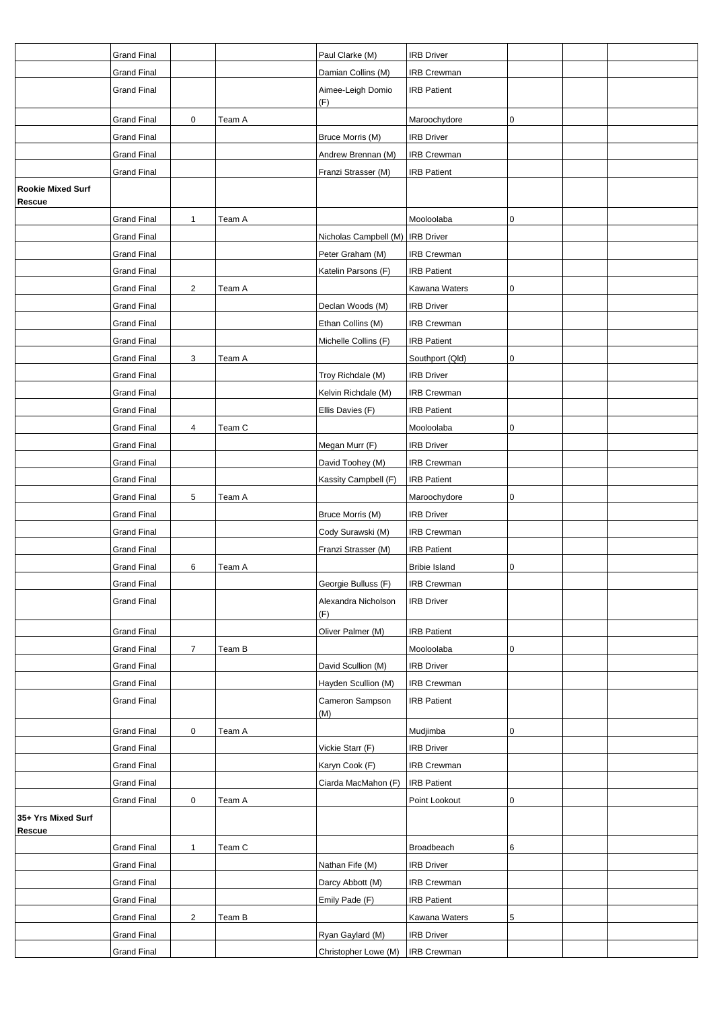|                                           | <b>Grand Final</b> |                |        | Paul Clarke (M)                    | <b>IRB Driver</b>    |   |  |
|-------------------------------------------|--------------------|----------------|--------|------------------------------------|----------------------|---|--|
|                                           | <b>Grand Final</b> |                |        | Damian Collins (M)                 | <b>IRB Crewman</b>   |   |  |
|                                           | <b>Grand Final</b> |                |        | Aimee-Leigh Domio<br>(F)           | <b>IRB Patient</b>   |   |  |
|                                           | <b>Grand Final</b> | $\mathbf 0$    | Team A |                                    | Maroochydore         | 0 |  |
|                                           | Grand Final        |                |        | Bruce Morris (M)                   | <b>IRB Driver</b>    |   |  |
|                                           | <b>Grand Final</b> |                |        | Andrew Brennan (M)                 | IRB Crewman          |   |  |
|                                           | <b>Grand Final</b> |                |        | Franzi Strasser (M)                | <b>IRB Patient</b>   |   |  |
| <b>Rookie Mixed Surf</b><br><b>Rescue</b> |                    |                |        |                                    |                      |   |  |
|                                           | <b>Grand Final</b> | $\mathbf{1}$   | Team A |                                    | Mooloolaba           | 0 |  |
|                                           | <b>Grand Final</b> |                |        | Nicholas Campbell (M)   IRB Driver |                      |   |  |
|                                           | <b>Grand Final</b> |                |        | Peter Graham (M)                   | <b>IRB Crewman</b>   |   |  |
|                                           | <b>Grand Final</b> |                |        | Katelin Parsons (F)                | <b>IRB Patient</b>   |   |  |
|                                           | <b>Grand Final</b> | $\overline{2}$ | Team A |                                    | Kawana Waters        | 0 |  |
|                                           | <b>Grand Final</b> |                |        | Declan Woods (M)                   | <b>IRB Driver</b>    |   |  |
|                                           | Grand Final        |                |        | Ethan Collins (M)                  | <b>IRB Crewman</b>   |   |  |
|                                           | <b>Grand Final</b> |                |        | Michelle Collins (F)               | <b>IRB Patient</b>   |   |  |
|                                           | <b>Grand Final</b> | 3              | Team A |                                    | Southport (Qld)      | 0 |  |
|                                           | <b>Grand Final</b> |                |        | Troy Richdale (M)                  | <b>IRB Driver</b>    |   |  |
|                                           | <b>Grand Final</b> |                |        | Kelvin Richdale (M)                | <b>IRB Crewman</b>   |   |  |
|                                           | <b>Grand Final</b> |                |        | Ellis Davies (F)                   | <b>IRB Patient</b>   |   |  |
|                                           | <b>Grand Final</b> | 4              | Team C |                                    | Mooloolaba           | 0 |  |
|                                           | Grand Final        |                |        | Megan Murr (F)                     | <b>IRB Driver</b>    |   |  |
|                                           | <b>Grand Final</b> |                |        | David Toohey (M)                   | <b>IRB Crewman</b>   |   |  |
|                                           | <b>Grand Final</b> |                |        | Kassity Campbell (F)               | <b>IRB Patient</b>   |   |  |
|                                           | <b>Grand Final</b> | 5              | Team A |                                    | Maroochydore         | 0 |  |
|                                           | <b>Grand Final</b> |                |        | Bruce Morris (M)                   | <b>IRB Driver</b>    |   |  |
|                                           | <b>Grand Final</b> |                |        | Cody Surawski (M)                  | <b>IRB Crewman</b>   |   |  |
|                                           | <b>Grand Final</b> |                |        | Franzi Strasser (M)                | <b>IRB Patient</b>   |   |  |
|                                           | <b>Grand Final</b> | 6              | Team A |                                    | <b>Bribie Island</b> | 0 |  |
|                                           | Grand Final        |                |        | Georgie Bulluss (F)                | <b>IRB Crewman</b>   |   |  |
|                                           | <b>Grand Final</b> |                |        | Alexandra Nicholson                | <b>IRB Driver</b>    |   |  |
|                                           |                    |                |        | (F)                                |                      |   |  |
|                                           | <b>Grand Final</b> |                |        | Oliver Palmer (M)                  | <b>IRB Patient</b>   |   |  |
|                                           | <b>Grand Final</b> | $\overline{7}$ | Team B |                                    | Mooloolaba           | 0 |  |
|                                           | <b>Grand Final</b> |                |        | David Scullion (M)                 | <b>IRB Driver</b>    |   |  |
|                                           | <b>Grand Final</b> |                |        | Hayden Scullion (M)                | <b>IRB Crewman</b>   |   |  |
|                                           | <b>Grand Final</b> |                |        | Cameron Sampson<br>(M)             | <b>IRB Patient</b>   |   |  |
|                                           | <b>Grand Final</b> | $\mathbf 0$    | Team A |                                    | Mudjimba             | 0 |  |
|                                           | <b>Grand Final</b> |                |        | Vickie Starr (F)                   | <b>IRB Driver</b>    |   |  |
|                                           | <b>Grand Final</b> |                |        | Karyn Cook (F)                     | IRB Crewman          |   |  |
|                                           | <b>Grand Final</b> |                |        | Ciarda MacMahon (F)                | <b>IRB Patient</b>   |   |  |
|                                           | <b>Grand Final</b> | $\mathbf 0$    | Team A |                                    | Point Lookout        | 0 |  |
| 35+ Yrs Mixed Surf<br>Rescue              |                    |                |        |                                    |                      |   |  |
|                                           | <b>Grand Final</b> | $\mathbf{1}$   | Team C |                                    | Broadbeach           | 6 |  |
|                                           | <b>Grand Final</b> |                |        | Nathan Fife (M)                    | <b>IRB Driver</b>    |   |  |
|                                           | <b>Grand Final</b> |                |        | Darcy Abbott (M)                   | <b>IRB Crewman</b>   |   |  |
|                                           | <b>Grand Final</b> |                |        | Emily Pade (F)                     | <b>IRB Patient</b>   |   |  |
|                                           | <b>Grand Final</b> | $\overline{2}$ | Team B |                                    | Kawana Waters        | 5 |  |
|                                           | <b>Grand Final</b> |                |        | Ryan Gaylard (M)                   | <b>IRB Driver</b>    |   |  |
|                                           | <b>Grand Final</b> |                |        | Christopher Lowe (M)               | <b>IRB Crewman</b>   |   |  |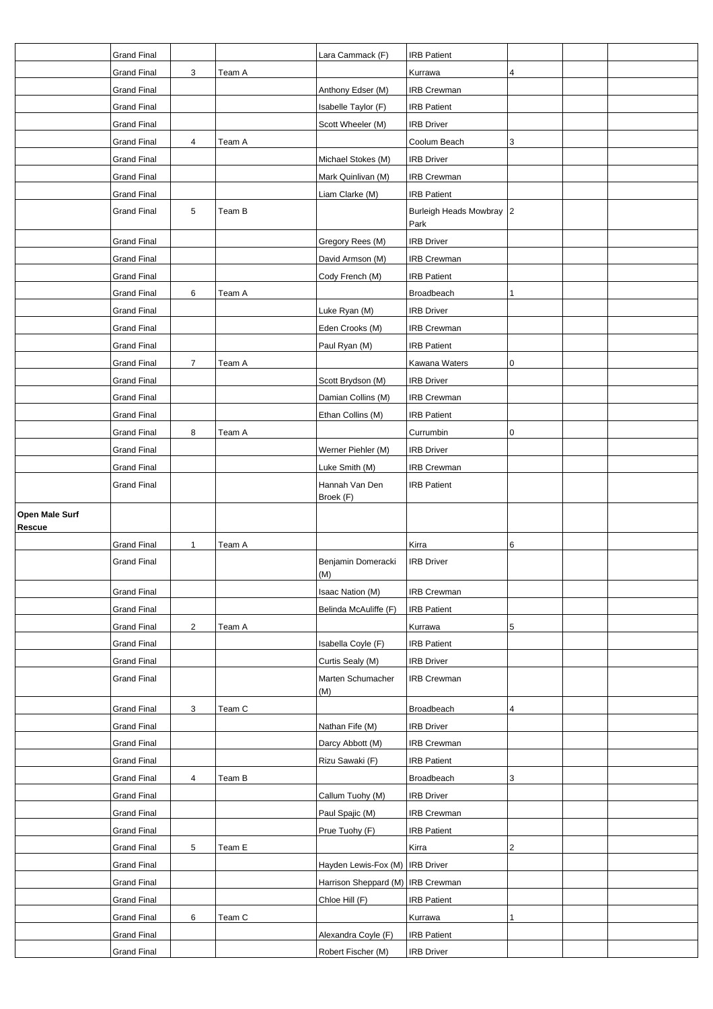|                | <b>Grand Final</b> |                |        | Lara Cammack (F)                  | <b>IRB Patient</b>       |                         |  |
|----------------|--------------------|----------------|--------|-----------------------------------|--------------------------|-------------------------|--|
|                | <b>Grand Final</b> | 3              | Team A |                                   | Kurrawa                  | 4                       |  |
|                | <b>Grand Final</b> |                |        | Anthony Edser (M)                 | <b>IRB Crewman</b>       |                         |  |
|                | <b>Grand Final</b> |                |        | Isabelle Taylor (F)               | <b>IRB Patient</b>       |                         |  |
|                | <b>Grand Final</b> |                |        | Scott Wheeler (M)                 | <b>IRB Driver</b>        |                         |  |
|                | <b>Grand Final</b> | 4              | Team A |                                   | Coolum Beach             | 3                       |  |
|                | <b>Grand Final</b> |                |        | Michael Stokes (M)                | <b>IRB Driver</b>        |                         |  |
|                | <b>Grand Final</b> |                |        | Mark Quinlivan (M)                | <b>IRB Crewman</b>       |                         |  |
|                | <b>Grand Final</b> |                |        | Liam Clarke (M)                   | <b>IRB Patient</b>       |                         |  |
|                | <b>Grand Final</b> | 5              | Team B |                                   | Burleigh Heads Mowbray 2 |                         |  |
|                |                    |                |        |                                   | Park                     |                         |  |
|                | <b>Grand Final</b> |                |        | Gregory Rees (M)                  | <b>IRB Driver</b>        |                         |  |
|                | <b>Grand Final</b> |                |        | David Armson (M)                  | <b>IRB Crewman</b>       |                         |  |
|                | <b>Grand Final</b> |                |        | Cody French (M)                   | <b>IRB Patient</b>       |                         |  |
|                | <b>Grand Final</b> | 6              | Team A |                                   | Broadbeach               | 1                       |  |
|                | <b>Grand Final</b> |                |        | Luke Ryan (M)                     | <b>IRB Driver</b>        |                         |  |
|                | <b>Grand Final</b> |                |        | Eden Crooks (M)                   | <b>IRB</b> Crewman       |                         |  |
|                | <b>Grand Final</b> |                |        | Paul Ryan (M)                     | <b>IRB Patient</b>       |                         |  |
|                | <b>Grand Final</b> | $\overline{7}$ | Team A |                                   | Kawana Waters            | 0                       |  |
|                | <b>Grand Final</b> |                |        | Scott Brydson (M)                 | <b>IRB Driver</b>        |                         |  |
|                | <b>Grand Final</b> |                |        | Damian Collins (M)                | <b>IRB Crewman</b>       |                         |  |
|                | <b>Grand Final</b> |                |        | Ethan Collins (M)                 | <b>IRB Patient</b>       |                         |  |
|                | <b>Grand Final</b> | 8              | Team A |                                   | Currumbin                | 0                       |  |
|                | <b>Grand Final</b> |                |        | Werner Piehler (M)                | <b>IRB Driver</b>        |                         |  |
|                | <b>Grand Final</b> |                |        | Luke Smith (M)                    | <b>IRB Crewman</b>       |                         |  |
|                | <b>Grand Final</b> |                |        | Hannah Van Den                    | <b>IRB Patient</b>       |                         |  |
|                |                    |                |        | Broek (F)                         |                          |                         |  |
|                |                    |                |        |                                   |                          |                         |  |
| Open Male Surf |                    |                |        |                                   |                          |                         |  |
| Rescue         |                    |                |        |                                   |                          |                         |  |
|                | <b>Grand Final</b> | 1              | Team A |                                   | Kirra                    | 6                       |  |
|                | <b>Grand Final</b> |                |        | Benjamin Domeracki                | <b>IRB</b> Driver        |                         |  |
|                | <b>Grand Final</b> |                |        | (M)<br>Isaac Nation (M)           | <b>IRB Crewman</b>       |                         |  |
|                | <b>Grand Final</b> |                |        | Belinda McAuliffe (F)             | <b>IRB Patient</b>       |                         |  |
|                | <b>Grand Final</b> | $\overline{c}$ | Team A |                                   | Kurrawa                  | 5                       |  |
|                | <b>Grand Final</b> |                |        | Isabella Coyle (F)                | <b>IRB Patient</b>       |                         |  |
|                | <b>Grand Final</b> |                |        | Curtis Sealy (M)                  | <b>IRB Driver</b>        |                         |  |
|                | <b>Grand Final</b> |                |        | Marten Schumacher                 | <b>IRB Crewman</b>       |                         |  |
|                |                    |                |        | (M)                               |                          |                         |  |
|                | <b>Grand Final</b> | 3              | Team C |                                   | Broadbeach               | 4                       |  |
|                | <b>Grand Final</b> |                |        | Nathan Fife (M)                   | <b>IRB Driver</b>        |                         |  |
|                | <b>Grand Final</b> |                |        | Darcy Abbott (M)                  | <b>IRB Crewman</b>       |                         |  |
|                | <b>Grand Final</b> |                |        | Rizu Sawaki (F)                   | <b>IRB Patient</b>       |                         |  |
|                | <b>Grand Final</b> | 4              | Team B |                                   | Broadbeach               | 3                       |  |
|                | <b>Grand Final</b> |                |        | Callum Tuohy (M)                  | <b>IRB Driver</b>        |                         |  |
|                | <b>Grand Final</b> |                |        | Paul Spajic (M)                   | <b>IRB Crewman</b>       |                         |  |
|                | <b>Grand Final</b> |                |        | Prue Tuohy (F)                    | <b>IRB Patient</b>       |                         |  |
|                | <b>Grand Final</b> | 5              | Team E |                                   | Kirra                    | $\overline{\mathbf{c}}$ |  |
|                | <b>Grand Final</b> |                |        | Hayden Lewis-Fox (M)   IRB Driver |                          |                         |  |
|                | <b>Grand Final</b> |                |        | Harrison Sheppard (M)             | <b>IRB Crewman</b>       |                         |  |
|                | <b>Grand Final</b> |                |        | Chloe Hill (F)                    | <b>IRB Patient</b>       |                         |  |
|                | <b>Grand Final</b> | 6              | Team C |                                   | Kurrawa                  | 1                       |  |
|                | <b>Grand Final</b> |                |        | Alexandra Coyle (F)               | <b>IRB Patient</b>       |                         |  |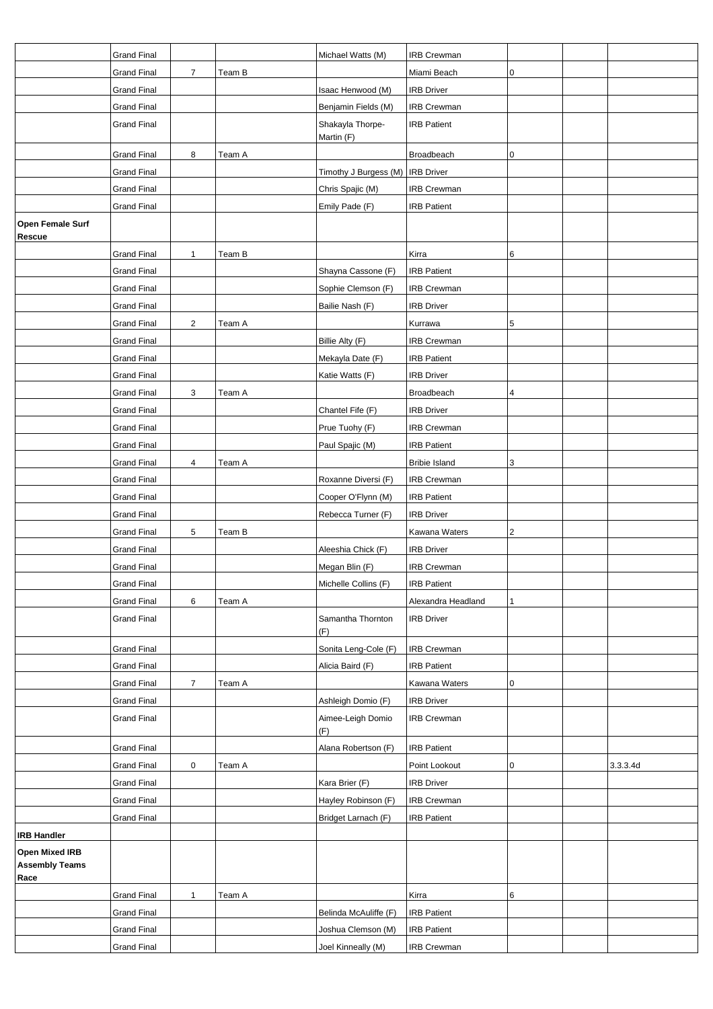|                                                        | <b>Grand Final</b> |                |        | Michael Watts (M)              | <b>IRB Crewman</b>   |                         |          |
|--------------------------------------------------------|--------------------|----------------|--------|--------------------------------|----------------------|-------------------------|----------|
|                                                        | <b>Grand Final</b> | $\overline{7}$ | Team B |                                | Miami Beach          | 0                       |          |
|                                                        | <b>Grand Final</b> |                |        | Isaac Henwood (M)              | <b>IRB Driver</b>    |                         |          |
|                                                        | <b>Grand Final</b> |                |        | Benjamin Fields (M)            | <b>IRB Crewman</b>   |                         |          |
|                                                        | <b>Grand Final</b> |                |        | Shakayla Thorpe-<br>Martin (F) | <b>IRB Patient</b>   |                         |          |
|                                                        | <b>Grand Final</b> | 8              | Team A |                                | Broadbeach           | 0                       |          |
|                                                        | <b>Grand Final</b> |                |        | Timothy J Burgess (M)          | <b>IRB</b> Driver    |                         |          |
|                                                        | <b>Grand Final</b> |                |        | Chris Spajic (M)               | <b>IRB Crewman</b>   |                         |          |
|                                                        | <b>Grand Final</b> |                |        | Emily Pade (F)                 | <b>IRB Patient</b>   |                         |          |
| Open Female Surf<br>Rescue                             |                    |                |        |                                |                      |                         |          |
|                                                        | <b>Grand Final</b> | $\mathbf{1}$   | Team B |                                | Kirra                | 6                       |          |
|                                                        | <b>Grand Final</b> |                |        | Shayna Cassone (F)             | <b>IRB Patient</b>   |                         |          |
|                                                        | <b>Grand Final</b> |                |        | Sophie Clemson (F)             | <b>IRB Crewman</b>   |                         |          |
|                                                        | <b>Grand Final</b> |                |        | Bailie Nash (F)                | <b>IRB</b> Driver    |                         |          |
|                                                        | <b>Grand Final</b> | $\sqrt{2}$     | Team A |                                | Kurrawa              | 5                       |          |
|                                                        | <b>Grand Final</b> |                |        | Billie Alty (F)                | <b>IRB Crewman</b>   |                         |          |
|                                                        | <b>Grand Final</b> |                |        | Mekayla Date (F)               | <b>IRB Patient</b>   |                         |          |
|                                                        | <b>Grand Final</b> |                |        | Katie Watts (F)                | <b>IRB Driver</b>    |                         |          |
|                                                        | <b>Grand Final</b> | 3              | Team A |                                | Broadbeach           | 4                       |          |
|                                                        | <b>Grand Final</b> |                |        | Chantel Fife (F)               | <b>IRB Driver</b>    |                         |          |
|                                                        | <b>Grand Final</b> |                |        |                                | <b>IRB Crewman</b>   |                         |          |
|                                                        |                    |                |        | Prue Tuohy (F)                 |                      |                         |          |
|                                                        | <b>Grand Final</b> |                |        | Paul Spajic (M)                | <b>IRB Patient</b>   |                         |          |
|                                                        | <b>Grand Final</b> | 4              | Team A |                                | <b>Bribie Island</b> | 3                       |          |
|                                                        | <b>Grand Final</b> |                |        | Roxanne Diversi (F)            | <b>IRB Crewman</b>   |                         |          |
|                                                        | <b>Grand Final</b> |                |        | Cooper O'Flynn (M)             | <b>IRB Patient</b>   |                         |          |
|                                                        | <b>Grand Final</b> |                |        | Rebecca Turner (F)             | <b>IRB Driver</b>    |                         |          |
|                                                        | <b>Grand Final</b> | 5              | Team B |                                | Kawana Waters        | $\overline{\mathbf{c}}$ |          |
|                                                        | <b>Grand Final</b> |                |        | Aleeshia Chick (F)             | <b>IRB Driver</b>    |                         |          |
|                                                        | <b>Grand Final</b> |                |        | Megan Blin (F)                 | <b>IRB Crewman</b>   |                         |          |
|                                                        | Grand Final        |                |        | Michelle Collins (F)           | <b>IRB Patient</b>   |                         |          |
|                                                        | <b>Grand Final</b> | 6              | Team A |                                | Alexandra Headland   | 1                       |          |
|                                                        | <b>Grand Final</b> |                |        | Samantha Thornton<br>(F)       | <b>IRB Driver</b>    |                         |          |
|                                                        | <b>Grand Final</b> |                |        | Sonita Leng-Cole (F)           | <b>IRB Crewman</b>   |                         |          |
|                                                        | <b>Grand Final</b> |                |        | Alicia Baird (F)               | <b>IRB Patient</b>   |                         |          |
|                                                        | <b>Grand Final</b> | $\overline{7}$ | Team A |                                | Kawana Waters        | 0                       |          |
|                                                        | <b>Grand Final</b> |                |        | Ashleigh Domio (F)             | <b>IRB Driver</b>    |                         |          |
|                                                        | <b>Grand Final</b> |                |        | Aimee-Leigh Domio<br>(F)       | <b>IRB Crewman</b>   |                         |          |
|                                                        | <b>Grand Final</b> |                |        | Alana Robertson (F)            | <b>IRB Patient</b>   |                         |          |
|                                                        | <b>Grand Final</b> | $\pmb{0}$      | Team A |                                | Point Lookout        | 0                       | 3.3.3.4d |
|                                                        | <b>Grand Final</b> |                |        | Kara Brier (F)                 | <b>IRB Driver</b>    |                         |          |
|                                                        | <b>Grand Final</b> |                |        | Hayley Robinson (F)            | <b>IRB Crewman</b>   |                         |          |
|                                                        | <b>Grand Final</b> |                |        | Bridget Larnach (F)            | <b>IRB Patient</b>   |                         |          |
| <b>IRB Handler</b>                                     |                    |                |        |                                |                      |                         |          |
| <b>Open Mixed IRB</b><br><b>Assembly Teams</b><br>Race |                    |                |        |                                |                      |                         |          |
|                                                        | <b>Grand Final</b> | $\mathbf{1}$   | Team A |                                | Kirra                | 6                       |          |
|                                                        | <b>Grand Final</b> |                |        | Belinda McAuliffe (F)          | <b>IRB Patient</b>   |                         |          |
|                                                        | <b>Grand Final</b> |                |        | Joshua Clemson (M)             | <b>IRB Patient</b>   |                         |          |
|                                                        | <b>Grand Final</b> |                |        | Joel Kinneally (M)             | <b>IRB Crewman</b>   |                         |          |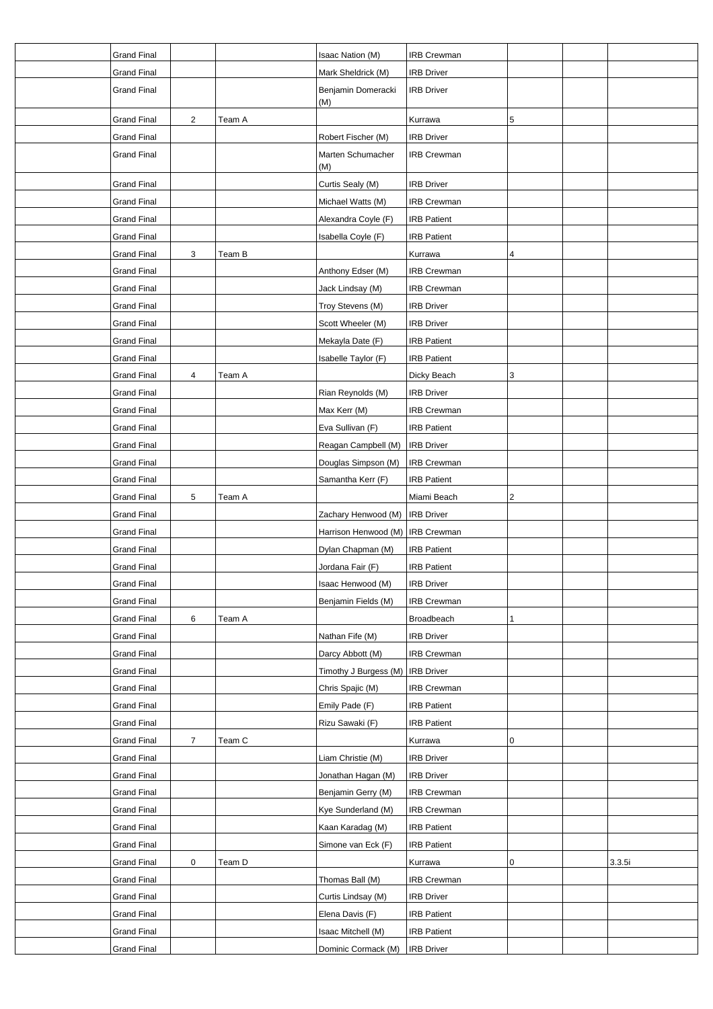| <b>Grand Final</b> |                |        | Isaac Nation (M)                   | <b>IRB Crewman</b> |   |        |
|--------------------|----------------|--------|------------------------------------|--------------------|---|--------|
| <b>Grand Final</b> |                |        | Mark Sheldrick (M)                 | <b>IRB Driver</b>  |   |        |
| <b>Grand Final</b> |                |        | Benjamin Domeracki<br>(M)          | <b>IRB Driver</b>  |   |        |
| <b>Grand Final</b> | $\overline{2}$ | Team A |                                    | Kurrawa            | 5 |        |
| <b>Grand Final</b> |                |        | Robert Fischer (M)                 | <b>IRB Driver</b>  |   |        |
| <b>Grand Final</b> |                |        | Marten Schumacher<br>(M)           | <b>IRB Crewman</b> |   |        |
| <b>Grand Final</b> |                |        | Curtis Sealy (M)                   | <b>IRB Driver</b>  |   |        |
| <b>Grand Final</b> |                |        | Michael Watts (M)                  | <b>IRB Crewman</b> |   |        |
| <b>Grand Final</b> |                |        | Alexandra Coyle (F)                | <b>IRB Patient</b> |   |        |
| <b>Grand Final</b> |                |        | Isabella Coyle (F)                 | <b>IRB Patient</b> |   |        |
| <b>Grand Final</b> | 3              | Team B |                                    | Kurrawa            | 4 |        |
| <b>Grand Final</b> |                |        | Anthony Edser (M)                  | <b>IRB Crewman</b> |   |        |
| <b>Grand Final</b> |                |        | Jack Lindsay (M)                   | <b>IRB</b> Crewman |   |        |
| <b>Grand Final</b> |                |        | Troy Stevens (M)                   | <b>IRB Driver</b>  |   |        |
| <b>Grand Final</b> |                |        | Scott Wheeler (M)                  | <b>IRB Driver</b>  |   |        |
| <b>Grand Final</b> |                |        | Mekayla Date (F)                   | <b>IRB Patient</b> |   |        |
| <b>Grand Final</b> |                |        | Isabelle Taylor (F)                | <b>IRB Patient</b> |   |        |
| <b>Grand Final</b> | 4              | Team A |                                    | Dicky Beach        | 3 |        |
| <b>Grand Final</b> |                |        | Rian Reynolds (M)                  | <b>IRB Driver</b>  |   |        |
| <b>Grand Final</b> |                |        | Max Kerr (M)                       | <b>IRB Crewman</b> |   |        |
| <b>Grand Final</b> |                |        | Eva Sullivan (F)                   | <b>IRB Patient</b> |   |        |
| <b>Grand Final</b> |                |        | Reagan Campbell (M)                | <b>IRB Driver</b>  |   |        |
| <b>Grand Final</b> |                |        | Douglas Simpson (M)                | <b>IRB Crewman</b> |   |        |
| <b>Grand Final</b> |                |        | Samantha Kerr (F)                  | <b>IRB Patient</b> |   |        |
| Grand Final        | 5              | Team A |                                    | Miami Beach        | 2 |        |
| <b>Grand Final</b> |                |        | Zachary Henwood (M)                | <b>IRB Driver</b>  |   |        |
| <b>Grand Final</b> |                |        | Harrison Henwood (M)   IRB Crewman |                    |   |        |
| <b>Grand Final</b> |                |        | Dylan Chapman (M)                  | <b>IRB Patient</b> |   |        |
| Grand Final        |                |        | Jordana Fair (F)                   | <b>IRB Patient</b> |   |        |
| Grand Final        |                |        | Isaac Henwood (M)                  | <b>IRB Driver</b>  |   |        |
| <b>Grand Final</b> |                |        | Benjamin Fields (M)                | <b>IRB Crewman</b> |   |        |
| <b>Grand Final</b> | 6              | Team A |                                    | Broadbeach         | 1 |        |
| <b>Grand Final</b> |                |        | Nathan Fife (M)                    | <b>IRB Driver</b>  |   |        |
| <b>Grand Final</b> |                |        | Darcy Abbott (M)                   | <b>IRB</b> Crewman |   |        |
| <b>Grand Final</b> |                |        | Timothy J Burgess (M)   IRB Driver |                    |   |        |
| <b>Grand Final</b> |                |        | Chris Spajic (M)                   | <b>IRB Crewman</b> |   |        |
| <b>Grand Final</b> |                |        | Emily Pade (F)                     | <b>IRB Patient</b> |   |        |
| <b>Grand Final</b> |                |        | Rizu Sawaki (F)                    | <b>IRB Patient</b> |   |        |
| <b>Grand Final</b> | 7              | Team C |                                    | Kurrawa            | 0 |        |
| <b>Grand Final</b> |                |        | Liam Christie (M)                  | <b>IRB Driver</b>  |   |        |
| <b>Grand Final</b> |                |        | Jonathan Hagan (M)                 | <b>IRB Driver</b>  |   |        |
| <b>Grand Final</b> |                |        | Benjamin Gerry (M)                 | <b>IRB Crewman</b> |   |        |
| <b>Grand Final</b> |                |        | Kye Sunderland (M)                 | <b>IRB Crewman</b> |   |        |
| <b>Grand Final</b> |                |        | Kaan Karadag (M)                   | <b>IRB Patient</b> |   |        |
| <b>Grand Final</b> |                |        | Simone van Eck (F)                 | <b>IRB Patient</b> |   |        |
| <b>Grand Final</b> | $\mathbf 0$    | Team D |                                    | Kurrawa            | 0 | 3.3.5i |
| <b>Grand Final</b> |                |        | Thomas Ball (M)                    | IRB Crewman        |   |        |
| <b>Grand Final</b> |                |        | Curtis Lindsay (M)                 | <b>IRB Driver</b>  |   |        |
| <b>Grand Final</b> |                |        | Elena Davis (F)                    | <b>IRB Patient</b> |   |        |
| <b>Grand Final</b> |                |        | Isaac Mitchell (M)                 | <b>IRB Patient</b> |   |        |
| <b>Grand Final</b> |                |        | Dominic Cormack (M)                | <b>IRB Driver</b>  |   |        |